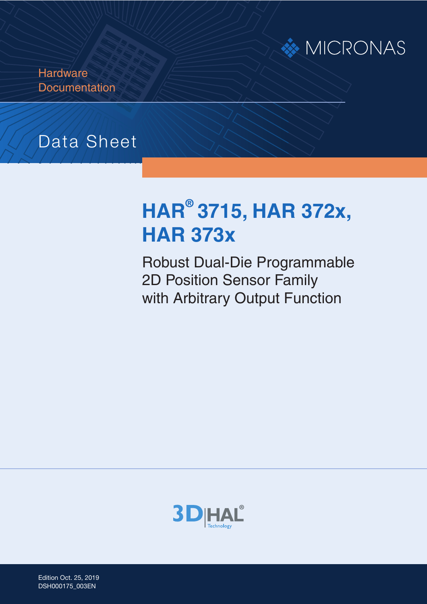

**Hardware Documentation** 

# Data Sheet

# **HAR® 3715, HAR 372x, HAR 373x**

Robust Dual-Die Programmable 2D Position Sensor Family with Arbitrary Output Function



Edition Oct. 25, 2019 DSH000175\_003EN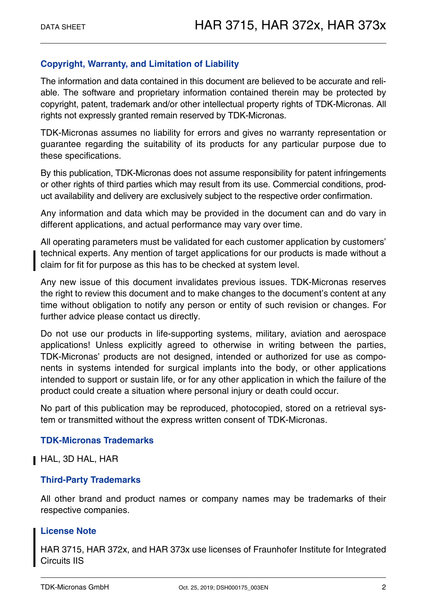#### **Copyright, Warranty, and Limitation of Liability**

The information and data contained in this document are believed to be accurate and reliable. The software and proprietary information contained therein may be protected by copyright, patent, trademark and/or other intellectual property rights of TDK-Micronas. All rights not expressly granted remain reserved by TDK-Micronas.

TDK-Micronas assumes no liability for errors and gives no warranty representation or guarantee regarding the suitability of its products for any particular purpose due to these specifications.

By this publication, TDK-Micronas does not assume responsibility for patent infringements or other rights of third parties which may result from its use. Commercial conditions, product availability and delivery are exclusively subject to the respective order confirmation.

Any information and data which may be provided in the document can and do vary in different applications, and actual performance may vary over time.

All operating parameters must be validated for each customer application by customers' technical experts. Any mention of target applications for our products is made without a claim for fit for purpose as this has to be checked at system level.

Any new issue of this document invalidates previous issues. TDK-Micronas reserves the right to review this document and to make changes to the document's content at any time without obligation to notify any person or entity of such revision or changes. For further advice please contact us directly.

Do not use our products in life-supporting systems, military, aviation and aerospace applications! Unless explicitly agreed to otherwise in writing between the parties, TDK-Micronas' products are not designed, intended or authorized for use as components in systems intended for surgical implants into the body, or other applications intended to support or sustain life, or for any other application in which the failure of the product could create a situation where personal injury or death could occur.

No part of this publication may be reproduced, photocopied, stored on a retrieval system or transmitted without the express written consent of TDK-Micronas.

#### **TDK-Micronas Trademarks**

HAL, 3D HAL, HAR

#### **Third-Party Trademarks**

All other brand and product names or company names may be trademarks of their respective companies.

#### **License Note**

HAR 3715, HAR 372x, and HAR 373x use licenses of Fraunhofer Institute for Integrated Circuits IIS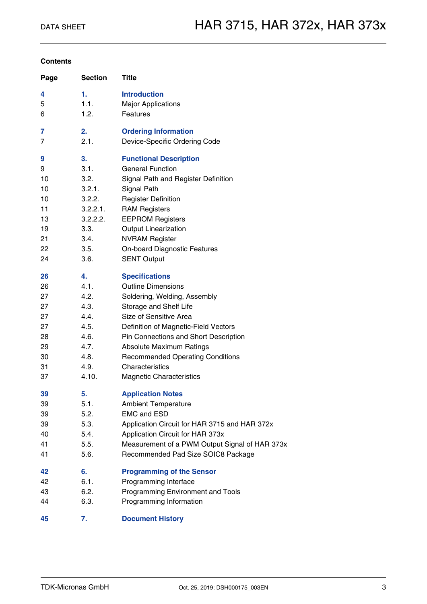#### **Contents**

| Page | <b>Section</b> | <b>Title</b>                                   |
|------|----------------|------------------------------------------------|
| 4    | 1.             | <b>Introduction</b>                            |
| 5    | 1.1.           | <b>Major Applications</b>                      |
| 6    | 1.2.           | Features                                       |
| 7    | 2.             | <b>Ordering Information</b>                    |
| 7    | 2.1.           | Device-Specific Ordering Code                  |
| 9    | 3.             | <b>Functional Description</b>                  |
| 9    | 3.1.           | <b>General Function</b>                        |
| 10   | 3.2.           | Signal Path and Register Definition            |
| 10   | 3.2.1.         | Signal Path                                    |
| 10   | 3.2.2.         | <b>Register Definition</b>                     |
| 11   | 3.2.2.1.       | <b>RAM Registers</b>                           |
| 13   | 3.2.2.2.       | <b>EEPROM Registers</b>                        |
| 19   | 3.3.           | <b>Output Linearization</b>                    |
| 21   | 3.4.           | <b>NVRAM Register</b>                          |
| 22   | 3.5.           | <b>On-board Diagnostic Features</b>            |
| 24   | 3.6.           | <b>SENT Output</b>                             |
| 26   | 4.             | <b>Specifications</b>                          |
| 26   | 4.1.           | <b>Outline Dimensions</b>                      |
| 27   | 4.2.           | Soldering, Welding, Assembly                   |
| 27   | 4.3.           | Storage and Shelf Life                         |
| 27   | 4.4.           | Size of Sensitive Area                         |
| 27   | 4.5.           | Definition of Magnetic-Field Vectors           |
| 28   | 4.6.           | Pin Connections and Short Description          |
| 29   | 4.7.           | <b>Absolute Maximum Ratings</b>                |
| 30   | 4.8.           | <b>Recommended Operating Conditions</b>        |
| 31   | 4.9.           | Characteristics                                |
| 37   | 4.10.          | <b>Magnetic Characteristics</b>                |
| 39   | 5.             | <b>Application Notes</b>                       |
| 39   | 5.1.           | <b>Ambient Temperature</b>                     |
| 39   | 5.2.           | <b>EMC and ESD</b>                             |
| 39   | 5.3.           | Application Circuit for HAR 3715 and HAR 372x  |
| 40   | 5.4.           | Application Circuit for HAR 373x               |
| 41   | 5.5.           | Measurement of a PWM Output Signal of HAR 373x |
| 41   | 5.6.           | Recommended Pad Size SOIC8 Package             |
| 42   | 6.             | <b>Programming of the Sensor</b>               |
| 42   | 6.1.           | Programming Interface                          |
| 43   | 6.2.           | Programming Environment and Tools              |
| 44   | 6.3.           | Programming Information                        |
| 45   | 7.             | <b>Document History</b>                        |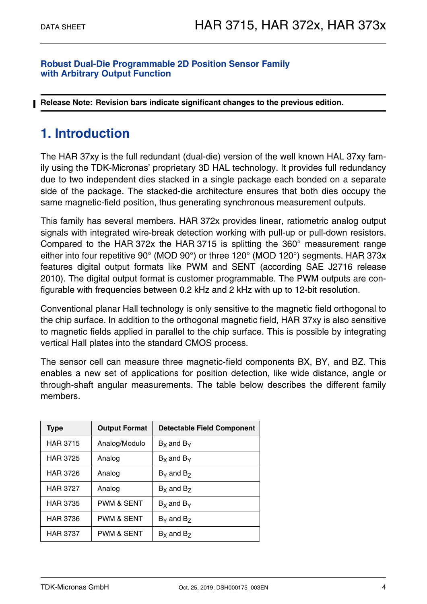#### **Robust Dual-Die Programmable 2D Position Sensor Family with Arbitrary Output Function**

**Release Note: Revision bars indicate significant changes to the previous edition.**

## <span id="page-3-0"></span>**1. Introduction**

The HAR 37xy is the full redundant (dual-die) version of the well known HAL 37xy family using the TDK-Micronas' proprietary 3D HAL technology. It provides full redundancy due to two independent dies stacked in a single package each bonded on a separate side of the package. The stacked-die architecture ensures that both dies occupy the same magnetic-field position, thus generating synchronous measurement outputs.

This family has several members. HAR 372x provides linear, ratiometric analog output signals with integrated wire-break detection working with pull-up or pull-down resistors. Compared to the HAR 372x the HAR 3715 is splitting the 360° measurement range either into four repetitive 90° (MOD 90°) or three 120° (MOD 120°) segments. HAR 373x features digital output formats like PWM and SENT (according SAE J2716 release 2010). The digital output format is customer programmable. The PWM outputs are configurable with frequencies between 0.2 kHz and 2 kHz with up to 12-bit resolution.

Conventional planar Hall technology is only sensitive to the magnetic field orthogonal to the chip surface. In addition to the orthogonal magnetic field, HAR 37xy is also sensitive to magnetic fields applied in parallel to the chip surface. This is possible by integrating vertical Hall plates into the standard CMOS process.

The sensor cell can measure three magnetic-field components BX, BY, and BZ. This enables a new set of applications for position detection, like wide distance, angle or through-shaft angular measurements. The table below describes the different family members.

| <b>Output Format</b><br>Type |                                        | <b>Detectable Field Component</b> |  |
|------------------------------|----------------------------------------|-----------------------------------|--|
| <b>HAR 3715</b>              | Analog/Modulo                          | $Bx$ and $By$                     |  |
| <b>HAR 3725</b>              | Analog                                 | $Bx$ and $By$                     |  |
| <b>HAR 3726</b>              | Analog                                 | $B_{\rm Y}$ and $B_{\rm Z}$       |  |
| <b>HAR 3727</b>              | Analog                                 | $Bx$ and $Bz$                     |  |
| <b>HAR 3735</b>              | <b>PWM &amp; SENT</b><br>$Bx$ and $By$ |                                   |  |
| <b>HAR 3736</b>              | <b>PWM &amp; SENT</b>                  | $B_{\rm V}$ and $B_{\rm Z}$       |  |
| <b>HAR 3737</b>              | <b>PWM &amp; SENT</b>                  | $Bx$ and $Bz$                     |  |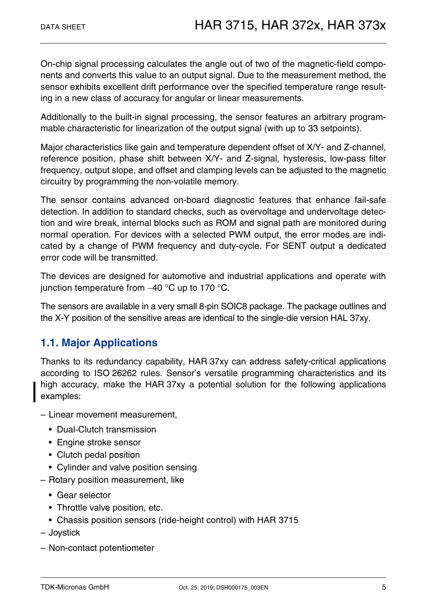On-chip signal processing calculates the angle out of two of the magnetic-field components and converts this value to an output signal. Due to the measurement method, the sensor exhibits excellent drift performance over the specified temperature range resulting in a new class of accuracy for angular or linear measurements.

Additionally to the built-in signal processing, the sensor features an arbitrary programmable characteristic for linearization of the output signal (with up to 33 setpoints).

Major characteristics like gain and temperature dependent offset of X/Y- and Z-channel, reference position, phase shift between X/Y- and Z-signal, hysteresis, low-pass filter frequency, output slope, and offset and clamping levels can be adjusted to the magnetic circuitry by programming the non-volatile memory.

The sensor contains advanced on-board diagnostic features that enhance fail-safe detection. In addition to standard checks, such as overvoltage and undervoltage detection and wire break, internal blocks such as ROM and signal path are monitored during normal operation. For devices with a selected PWM output, the error modes are indicated by a change of PWM frequency and duty-cycle. For SENT output a dedicated error code will be transmitted.

The devices are designed for automotive and industrial applications and operate with junction temperature from  $-40$  °C up to 170 °C.

The sensors are available in a very small 8-pin SOIC8 package. The package outlines and the X-Y position of the sensitive areas are identical to the single-die version HAL 37xy.

## <span id="page-4-0"></span>**1.1. Major Applications**

Thanks to its redundancy capability, HAR 37xy can address safety-critical applications according to ISO 26262 rules. Sensor's versatile programming characteristics and its high accuracy, make the HAR 37xy a potential solution for the following applications examples:

- Linear movement measurement,
	- Dual-Clutch transmission
	- Engine stroke sensor
	- Clutch pedal position
	- Cylinder and valve position sensing
- Rotary position measurement, like
	- Gear selector
	- Throttle valve position, etc.
	- Chassis position sensors (ride-height control) with HAR 3715
- Joystick
- Non-contact potentiometer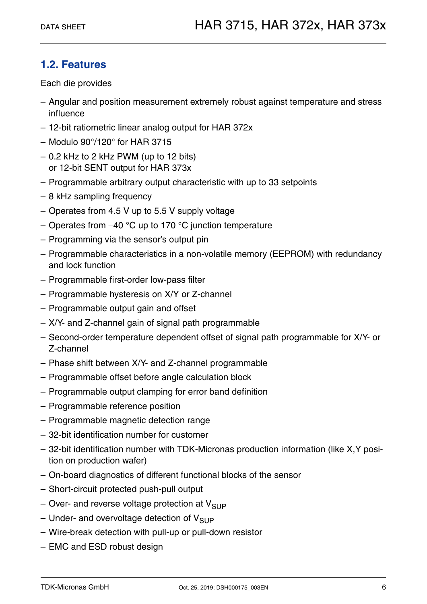## <span id="page-5-0"></span>**1.2. Features**

Each die provides

- Angular and position measurement extremely robust against temperature and stress influence
- 12-bit ratiometric linear analog output for HAR 372x
- Modulo 90°/120° for HAR 3715
- $-$  0.2 kHz to 2 kHz PWM (up to 12 bits) or 12-bit SENT output for HAR 373x
- Programmable arbitrary output characteristic with up to 33 setpoints
- 8 kHz sampling frequency
- Operates from 4.5 V up to 5.5 V supply voltage
- Operates from  $-40$  °C up to 170 °C junction temperature
- Programming via the sensor's output pin
- Programmable characteristics in a non-volatile memory (EEPROM) with redundancy and lock function
- Programmable first-order low-pass filter
- Programmable hysteresis on X/Y or Z-channel
- Programmable output gain and offset
- X/Y- and Z-channel gain of signal path programmable
- Second-order temperature dependent offset of signal path programmable for X/Y- or Z-channel
- Phase shift between X/Y- and Z-channel programmable
- Programmable offset before angle calculation block
- Programmable output clamping for error band definition
- Programmable reference position
- Programmable magnetic detection range
- 32-bit identification number for customer
- 32-bit identification number with TDK-Micronas production information (like X,Y position on production wafer)
- On-board diagnostics of different functional blocks of the sensor
- Short-circuit protected push-pull output
- Over- and reverse voltage protection at  $V_{\text{SUP}}$
- Under- and overvoltage detection of  $V_{SUP}$
- Wire-break detection with pull-up or pull-down resistor
- EMC and ESD robust design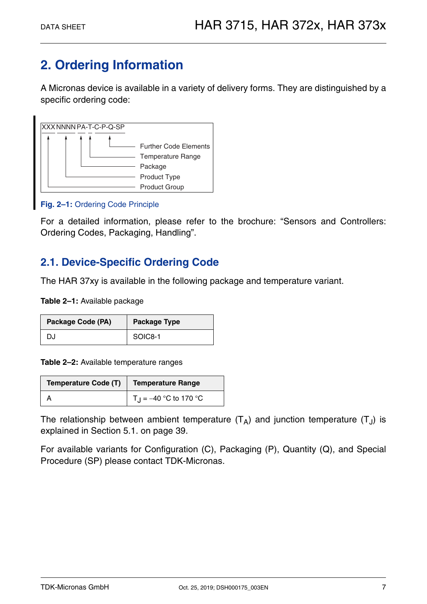## <span id="page-6-0"></span>**2. Ordering Information**

A Micronas device is available in a variety of delivery forms. They are distinguished by a specific ordering code:



#### **Fig. 2–1:** Ordering Code Principle

For a detailed information, please refer to the brochure: "Sensors and Controllers: Ordering Codes, Packaging, Handling".

## <span id="page-6-1"></span>**2.1. Device-Specific Ordering Code**

The HAR 37xy is available in the following package and temperature variant.

**Table 2–1:** Available package

| Package Code (PA) | <b>Package Type</b> |
|-------------------|---------------------|
| DJ                | SOIC8-1             |

**Table 2–2:** Available temperature ranges

| Temperature Code (T)   Temperature Range |                                      |
|------------------------------------------|--------------------------------------|
|                                          | $\vert T_{\rm J} = -40$ °C to 170 °C |

The relationship between ambient temperature  $(T_A)$  and junction temperature  $(T_A)$  is explained in [Section 5.1. on page 39.](#page-38-4)

For available variants for Configuration (C), Packaging (P), Quantity (Q), and Special Procedure (SP) please contact TDK-Micronas.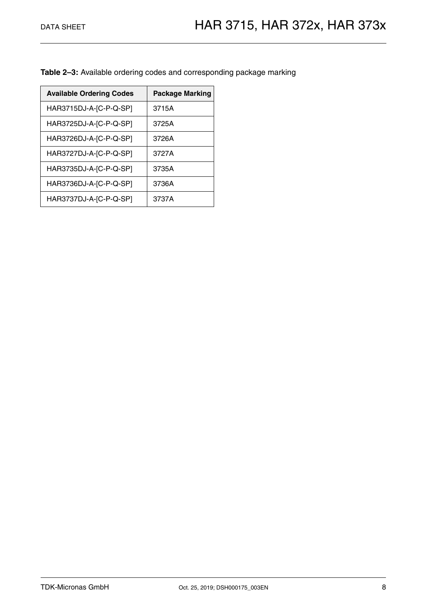**Table 2–3:** Available ordering codes and corresponding package marking

| <b>Available Ordering Codes</b> | <b>Package Marking</b> |
|---------------------------------|------------------------|
| HAR3715DJ-A-[C-P-Q-SP]          | 3715A                  |
| HAR3725DJ-A-[C-P-Q-SP]          | 3725A                  |
| HAR3726DJ-A-[C-P-Q-SP]          | 3726A                  |
| HAR3727DJ-A-[C-P-Q-SP]          | 3727A                  |
| HAR3735DJ-A-[C-P-Q-SP]          | 3735A                  |
| HAR3736DJ-A-[C-P-Q-SP]          | 3736A                  |
| HAR3737DJ-A-[C-P-Q-SP]          | 3737A                  |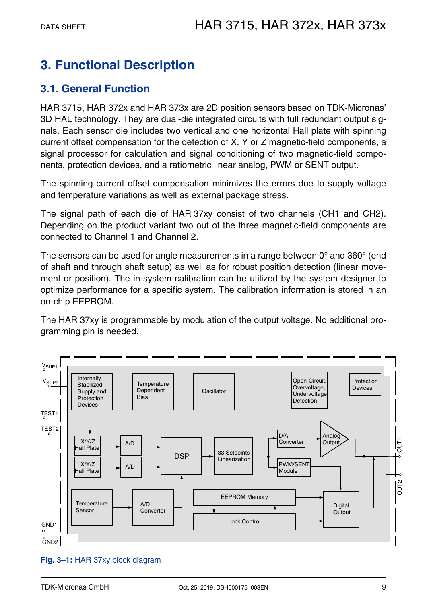## <span id="page-8-0"></span>**3. Functional Description**

## <span id="page-8-1"></span>**3.1. General Function**

HAR 3715, HAR 372x and HAR 373x are 2D position sensors based on TDK-Micronas' 3D HAL technology. They are dual-die integrated circuits with full redundant output signals. Each sensor die includes two vertical and one horizontal Hall plate with spinning current offset compensation for the detection of X, Y or Z magnetic-field components, a signal processor for calculation and signal conditioning of two magnetic-field components, protection devices, and a ratiometric linear analog, PWM or SENT output.

The spinning current offset compensation minimizes the errors due to supply voltage and temperature variations as well as external package stress.

The signal path of each die of HAR 37xy consist of two channels (CH1 and CH2). Depending on the product variant two out of the three magnetic-field components are connected to Channel 1 and Channel 2.

The sensors can be used for angle measurements in a range between 0° and 360° (end of shaft and through shaft setup) as well as for robust position detection (linear movement or position). The in-system calibration can be utilized by the system designer to optimize performance for a specific system. The calibration information is stored in an on-chip EEPROM.

The HAR 37xy is programmable by modulation of the output voltage. No additional programming pin is needed.



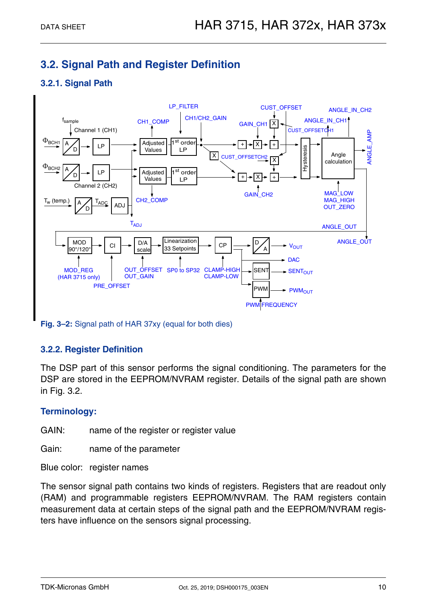## <span id="page-9-0"></span>**3.2. Signal Path and Register Definition**

#### <span id="page-9-1"></span>**3.2.1. Signal Path**



**Fig. 3–2:** Signal path of HAR 37xy (equal for both dies)

#### <span id="page-9-2"></span>**3.2.2. Register Definition**

The DSP part of this sensor performs the signal conditioning. The parameters for the DSP are stored in the EEPROM/NVRAM register. Details of the signal path are shown in [Fig. 3.2.](#page-9-0)

#### **Terminology:**

GAIN: name of the register or register value

Gain: name of the parameter

Blue color: register names

The sensor signal path contains two kinds of registers. Registers that are readout only (RAM) and programmable registers EEPROM/NVRAM. The RAM registers contain measurement data at certain steps of the signal path and the EEPROM/NVRAM registers have influence on the sensors signal processing.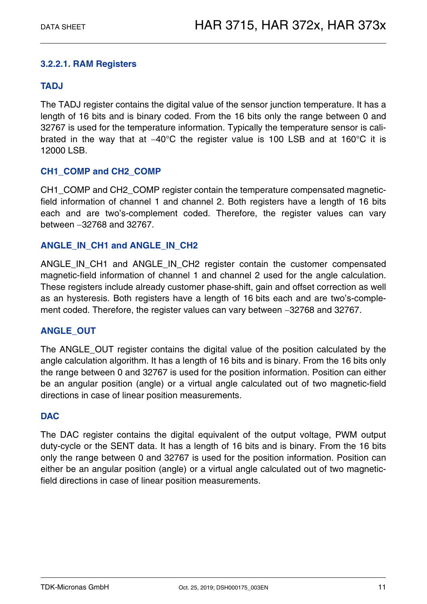#### <span id="page-10-0"></span>**3.2.2.1. RAM Registers**

#### **TADJ**

The TADJ register contains the digital value of the sensor junction temperature. It has a length of 16 bits and is binary coded. From the 16 bits only the range between 0 and 32767 is used for the temperature information. Typically the temperature sensor is calibrated in the way that at  $-40^{\circ}$ C the register value is 100 LSB and at 160 $^{\circ}$ C it is 12000 LSB.

#### **CH1\_COMP and CH2\_COMP**

CH1\_COMP and CH2\_COMP register contain the temperature compensated magneticfield information of channel 1 and channel 2. Both registers have a length of 16 bits each and are two's-complement coded. Therefore, the register values can vary between 32768 and 32767.

#### **ANGLE\_IN\_CH1 and ANGLE\_IN\_CH2**

ANGLE IN CH1 and ANGLE IN CH2 register contain the customer compensated magnetic-field information of channel 1 and channel 2 used for the angle calculation. These registers include already customer phase-shift, gain and offset correction as well as an hysteresis. Both registers have a length of 16 bits each and are two's-complement coded. Therefore, the register values can vary between -32768 and 32767.

#### **ANGLE\_OUT**

The ANGLE OUT register contains the digital value of the position calculated by the angle calculation algorithm. It has a length of 16 bits and is binary. From the 16 bits only the range between 0 and 32767 is used for the position information. Position can either be an angular position (angle) or a virtual angle calculated out of two magnetic-field directions in case of linear position measurements.

#### **DAC**

The DAC register contains the digital equivalent of the output voltage, PWM output duty-cycle or the SENT data. It has a length of 16 bits and is binary. From the 16 bits only the range between 0 and 32767 is used for the position information. Position can either be an angular position (angle) or a virtual angle calculated out of two magneticfield directions in case of linear position measurements.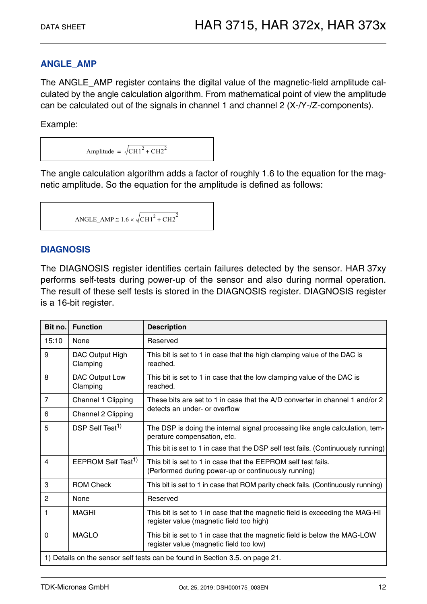#### **ANGLE\_AMP**

The ANGLE\_AMP register contains the digital value of the magnetic-field amplitude calculated by the angle calculation algorithm. From mathematical point of view the amplitude can be calculated out of the signals in channel 1 and channel 2 (X-/Y-/Z-components).

Example:

Amplitude =  $\sqrt{\text{CH1}^2 + \text{CH2}^2}$ 

The angle calculation algorithm adds a factor of roughly 1.6 to the equation for the magnetic amplitude. So the equation for the amplitude is defined as follows:

$$
ANGLE\_AMP \cong 1.6 \times \sqrt{CH1^2 + CH2^2}
$$

#### **DIAGNOSIS**

The DIAGNOSIS register identifies certain failures detected by the sensor. HAR 37xy performs self-tests during power-up of the sensor and also during normal operation. The result of these self tests is stored in the DIAGNOSIS register. DIAGNOSIS register is a 16-bit register.

| Bit no.                                                                      | <b>Function</b>                | <b>Description</b>                                                                                                       |  |
|------------------------------------------------------------------------------|--------------------------------|--------------------------------------------------------------------------------------------------------------------------|--|
| 15:10                                                                        | None                           | Reserved                                                                                                                 |  |
| 9                                                                            | DAC Output High<br>Clamping    | This bit is set to 1 in case that the high clamping value of the DAC is<br>reached.                                      |  |
| 8                                                                            | DAC Output Low<br>Clamping     | This bit is set to 1 in case that the low clamping value of the DAC is<br>reached.                                       |  |
| $\overline{7}$                                                               | Channel 1 Clipping             | These bits are set to 1 in case that the A/D converter in channel 1 and/or 2<br>detects an under- or overflow            |  |
| 6                                                                            | Channel 2 Clipping             |                                                                                                                          |  |
| 5                                                                            | DSP Self Test <sup>1)</sup>    | The DSP is doing the internal signal processing like angle calculation, tem-<br>perature compensation, etc.              |  |
|                                                                              |                                | This bit is set to 1 in case that the DSP self test fails. (Continuously running)                                        |  |
| 4                                                                            | EEPROM Self Test <sup>1)</sup> | This bit is set to 1 in case that the EEPROM self test fails.<br>(Performed during power-up or continuously running)     |  |
| 3                                                                            | <b>ROM Check</b>               | This bit is set to 1 in case that ROM parity check fails. (Continuously running)                                         |  |
| 2                                                                            | None                           | Reserved                                                                                                                 |  |
| 1                                                                            | <b>MAGHI</b>                   | This bit is set to 1 in case that the magnetic field is exceeding the MAG-HI<br>register value (magnetic field too high) |  |
| $\Omega$                                                                     | <b>MAGLO</b>                   | This bit is set to 1 in case that the magnetic field is below the MAG-LOW<br>register value (magnetic field too low)     |  |
| 1) Details on the sensor self tests can be found in Section 3.5. on page 21. |                                |                                                                                                                          |  |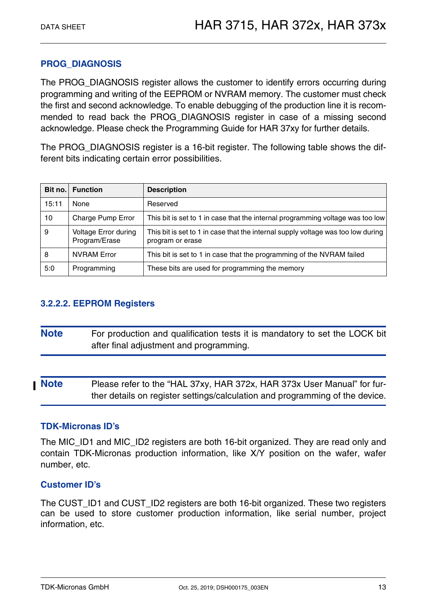#### **PROG\_DIAGNOSIS**

The PROG\_DIAGNOSIS register allows the customer to identify errors occurring during programming and writing of the EEPROM or NVRAM memory. The customer must check the first and second acknowledge. To enable debugging of the production line it is recommended to read back the PROG DIAGNOSIS register in case of a missing second acknowledge. Please check the Programming Guide for HAR 37xy for further details.

The PROG\_DIAGNOSIS register is a 16-bit register. The following table shows the different bits indicating certain error possibilities.

| Bit no. | <b>Function</b>                              | <b>Description</b>                                                                                   |
|---------|----------------------------------------------|------------------------------------------------------------------------------------------------------|
| 15:11   | None                                         | Reserved                                                                                             |
| 10      | Charge Pump Error                            | This bit is set to 1 in case that the internal programming voltage was too low                       |
| 9       | <b>Voltage Error during</b><br>Program/Erase | This bit is set to 1 in case that the internal supply voltage was too low during<br>program or erase |
| 8       | <b>NVRAM Error</b>                           | This bit is set to 1 in case that the programming of the NVRAM failed                                |
| 5:0     | Programming                                  | These bits are used for programming the memory                                                       |

#### <span id="page-12-0"></span>**3.2.2.2. EEPROM Registers**

| <b>Note</b> | For production and qualification tests it is mandatory to set the LOCK bit |
|-------------|----------------------------------------------------------------------------|
|             | after final adjustment and programming.                                    |

**Note** Please refer to the "HAL 37xy, HAR 372x, HAR 373x User Manual" for further details on register settings/calculation and programming of the device.

#### **TDK-Micronas ID's**

The MIC\_ID1 and MIC\_ID2 registers are both 16-bit organized. They are read only and contain TDK-Micronas production information, like X/Y position on the wafer, wafer number, etc.

#### **Customer ID's**

The CUST ID1 and CUST ID2 registers are both 16-bit organized. These two registers can be used to store customer production information, like serial number, project information, etc.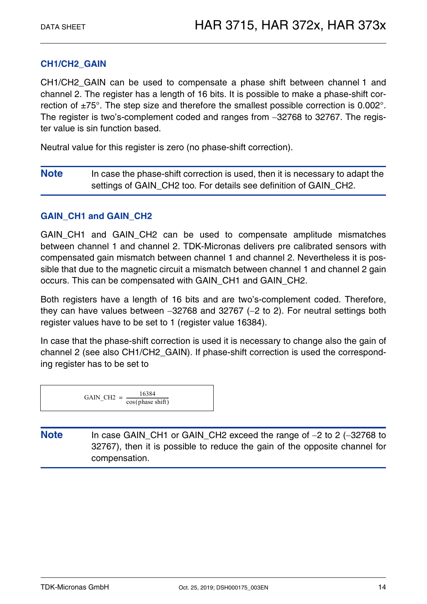#### **CH1/CH2\_GAIN**

CH1/CH2\_GAIN can be used to compensate a phase shift between channel 1 and channel 2. The register has a length of 16 bits. It is possible to make a phase-shift correction of  $\pm 75^\circ$ . The step size and therefore the smallest possible correction is 0.002°. The register is two's-complement coded and ranges from  $-32768$  to 32767. The register value is sin function based.

Neutral value for this register is zero (no phase-shift correction).

**Note** In case the phase-shift correction is used, then it is necessary to adapt the settings of GAIN CH2 too. For details see definition of GAIN CH2.

#### **GAIN\_CH1 and GAIN\_CH2**

GAIN CH1 and GAIN CH2 can be used to compensate amplitude mismatches between channel 1 and channel 2. TDK-Micronas delivers pre calibrated sensors with compensated gain mismatch between channel 1 and channel 2. Nevertheless it is possible that due to the magnetic circuit a mismatch between channel 1 and channel 2 gain occurs. This can be compensated with GAIN\_CH1 and GAIN\_CH2.

Both registers have a length of 16 bits and are two's-complement coded. Therefore, they can have values between  $-32768$  and  $32767$  ( $-2$  to 2). For neutral settings both register values have to be set to 1 (register value 16384).

In case that the phase-shift correction is used it is necessary to change also the gain of channel 2 (see also CH1/CH2\_GAIN). If phase-shift correction is used the corresponding register has to be set to

| GAIN CH <sub>2</sub> $=$ | 16384<br>$cos(\text{phase shift})$ |
|--------------------------|------------------------------------|
|--------------------------|------------------------------------|

Note In case GAIN CH1 or GAIN CH2 exceed the range of -2 to 2 (-32768 to 32767), then it is possible to reduce the gain of the opposite channel for compensation.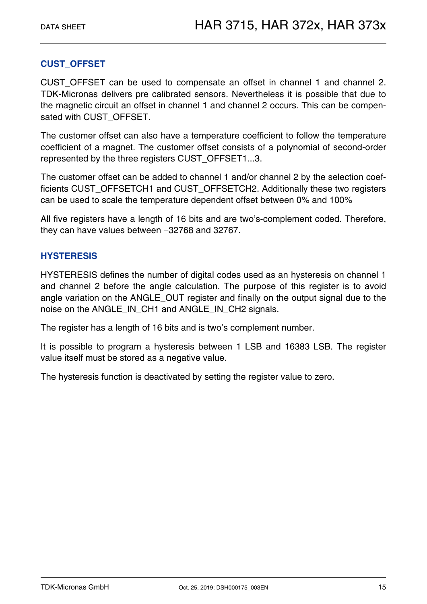#### **CUST\_OFFSET**

CUST OFFSET can be used to compensate an offset in channel 1 and channel 2. TDK-Micronas delivers pre calibrated sensors. Nevertheless it is possible that due to the magnetic circuit an offset in channel 1 and channel 2 occurs. This can be compensated with CUST\_OFFSET.

The customer offset can also have a temperature coefficient to follow the temperature coefficient of a magnet. The customer offset consists of a polynomial of second-order represented by the three registers CUST\_OFFSET1...3.

The customer offset can be added to channel 1 and/or channel 2 by the selection coefficients CUST\_OFFSETCH1 and CUST\_OFFSETCH2. Additionally these two registers can be used to scale the temperature dependent offset between 0% and 100%

All five registers have a length of 16 bits and are two's-complement coded. Therefore, they can have values between -32768 and 32767.

#### **HYSTERESIS**

HYSTERESIS defines the number of digital codes used as an hysteresis on channel 1 and channel 2 before the angle calculation. The purpose of this register is to avoid angle variation on the ANGLE\_OUT register and finally on the output signal due to the noise on the ANGLE\_IN\_CH1 and ANGLE\_IN\_CH2 signals.

The register has a length of 16 bits and is two's complement number.

It is possible to program a hysteresis between 1 LSB and 16383 LSB. The register value itself must be stored as a negative value.

The hysteresis function is deactivated by setting the register value to zero.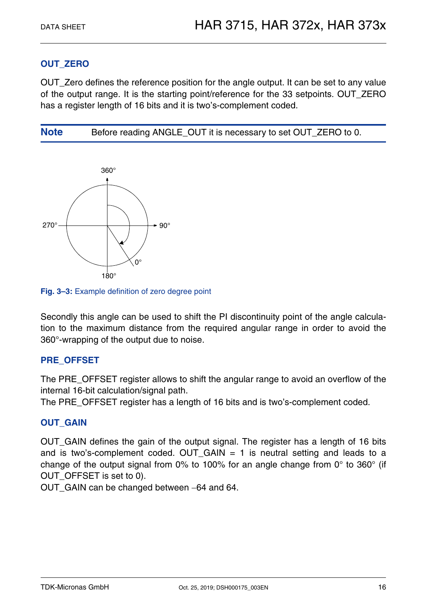#### **OUT\_ZERO**

OUT\_Zero defines the reference position for the angle output. It can be set to any value of the output range. It is the starting point/reference for the 33 setpoints. OUT\_ZERO has a register length of 16 bits and it is two's-complement coded.

**Note** Before reading ANGLE OUT it is necessary to set OUT ZERO to 0.



**Fig. 3–3:** Example definition of zero degree point

Secondly this angle can be used to shift the PI discontinuity point of the angle calculation to the maximum distance from the required angular range in order to avoid the 360°-wrapping of the output due to noise.

#### **PRE\_OFFSET**

The PRE\_OFFSET register allows to shift the angular range to avoid an overflow of the internal 16-bit calculation/signal path.

The PRE\_OFFSET register has a length of 16 bits and is two's-complement coded.

#### **OUT\_GAIN**

OUT\_GAIN defines the gain of the output signal. The register has a length of 16 bits and is two's-complement coded. OUT\_GAIN = 1 is neutral setting and leads to a change of the output signal from 0% to 100% for an angle change from 0° to 360° (if OUT OFFSET is set to 0).

OUT\_GAIN can be changed between -64 and 64.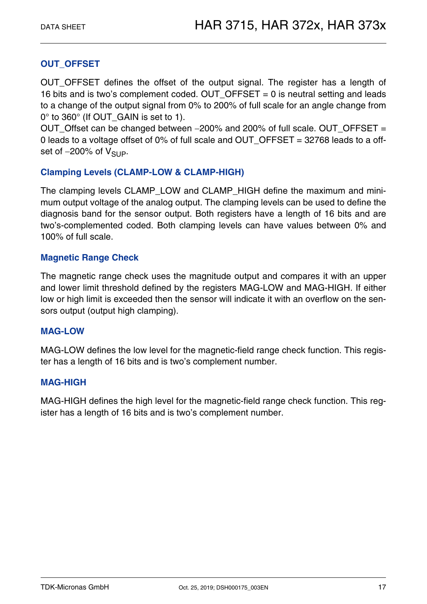#### **OUT\_OFFSET**

OUT OFFSET defines the offset of the output signal. The register has a length of 16 bits and is two's complement coded. OUT OFFSET = 0 is neutral setting and leads to a change of the output signal from 0% to 200% of full scale for an angle change from 0° to 360° (If OUT GAIN is set to 1).

OUT\_Offset can be changed between 200% and 200% of full scale. OUT\_OFFSET = 0 leads to a voltage offset of 0% of full scale and OUT  $OFFSET = 32768$  leads to a offset of  $-200\%$  of  $V_{\text{SUP}}$ .

#### **Clamping Levels (CLAMP-LOW & CLAMP-HIGH)**

The clamping levels CLAMP\_LOW and CLAMP\_HIGH define the maximum and minimum output voltage of the analog output. The clamping levels can be used to define the diagnosis band for the sensor output. Both registers have a length of 16 bits and are two's-complemented coded. Both clamping levels can have values between 0% and 100% of full scale.

#### **Magnetic Range Check**

The magnetic range check uses the magnitude output and compares it with an upper and lower limit threshold defined by the registers MAG-LOW and MAG-HIGH. If either low or high limit is exceeded then the sensor will indicate it with an overflow on the sensors output (output high clamping).

#### **MAG-LOW**

MAG-LOW defines the low level for the magnetic-field range check function. This register has a length of 16 bits and is two's complement number.

#### **MAG-HIGH**

MAG-HIGH defines the high level for the magnetic-field range check function. This register has a length of 16 bits and is two's complement number.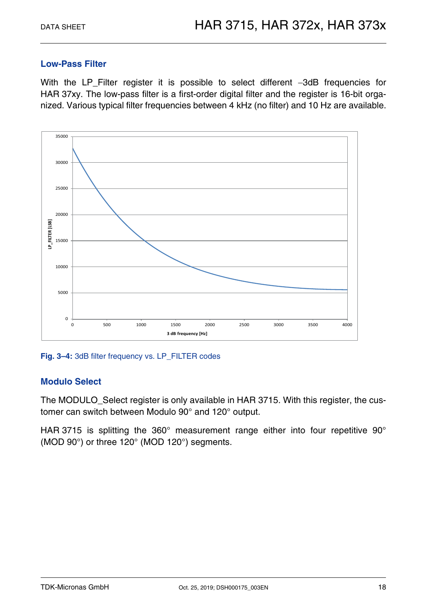#### **Low-Pass Filter**

With the LP\_Filter register it is possible to select different -3dB frequencies for HAR 37xy. The low-pass filter is a first-order digital filter and the register is 16-bit organized. Various typical filter frequencies between 4 kHz (no filter) and 10 Hz are available.



**Fig. 3–4:** 3dB filter frequency vs. LP\_FILTER codes

#### **Modulo Select**

The MODULO\_Select register is only available in HAR 3715. With this register, the customer can switch between Modulo 90° and 120° output.

HAR 3715 is splitting the 360° measurement range either into four repetitive 90° (MOD 90°) or three 120° (MOD 120°) segments.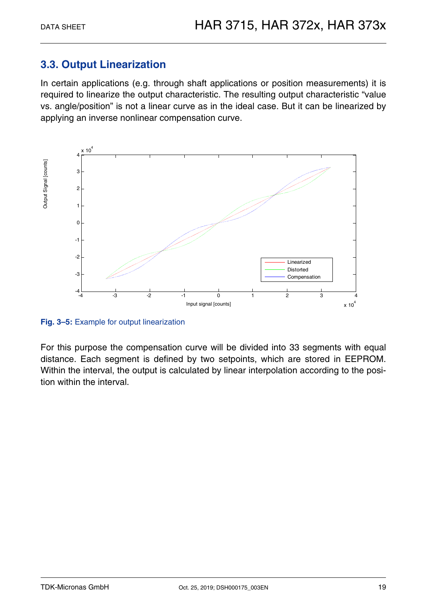## <span id="page-18-0"></span>**3.3. Output Linearization**

In certain applications (e.g. through shaft applications or position measurements) it is required to linearize the output characteristic. The resulting output characteristic "value vs. angle/position" is not a linear curve as in the ideal case. But it can be linearized by applying an inverse nonlinear compensation curve.



**Fig. 3–5:** Example for output linearization

For this purpose the compensation curve will be divided into 33 segments with equal distance. Each segment is defined by two setpoints, which are stored in EEPROM. Within the interval, the output is calculated by linear interpolation according to the position within the interval.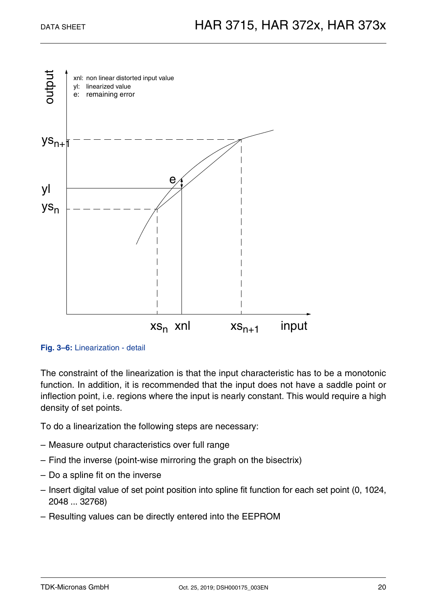



The constraint of the linearization is that the input characteristic has to be a monotonic function. In addition, it is recommended that the input does not have a saddle point or inflection point, i.e. regions where the input is nearly constant. This would require a high density of set points.

To do a linearization the following steps are necessary:

- Measure output characteristics over full range
- Find the inverse (point-wise mirroring the graph on the bisectrix)
- Do a spline fit on the inverse
- Insert digital value of set point position into spline fit function for each set point (0, 1024, 2048 ... 32768)
- Resulting values can be directly entered into the EEPROM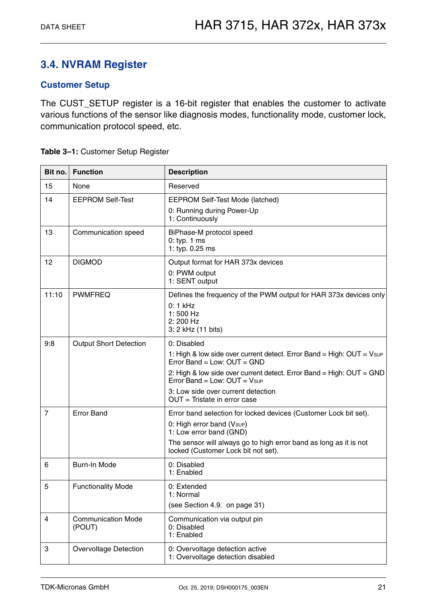## <span id="page-20-0"></span>**3.4. NVRAM Register**

#### **Customer Setup**

The CUST\_SETUP register is a 16-bit register that enables the customer to activate various functions of the sensor like diagnosis modes, functionality mode, customer lock, communication protocol speed, etc.

| Bit no.        | <b>Function</b>                     | <b>Description</b>                                                                                                                                                                                                                                                                                         |  |
|----------------|-------------------------------------|------------------------------------------------------------------------------------------------------------------------------------------------------------------------------------------------------------------------------------------------------------------------------------------------------------|--|
| 15             | None                                | Reserved                                                                                                                                                                                                                                                                                                   |  |
| 14             | <b>EEPROM Self-Test</b>             | <b>EEPROM Self-Test Mode (latched)</b><br>0: Running during Power-Up<br>1: Continuously                                                                                                                                                                                                                    |  |
| 13             | Communication speed                 | BiPhase-M protocol speed<br>$0:$ typ. 1 ms<br>1: typ. 0.25 ms                                                                                                                                                                                                                                              |  |
| 12             | <b>DIGMOD</b>                       | Output format for HAR 373x devices<br>0: PWM output<br>1: SENT output                                                                                                                                                                                                                                      |  |
| 11:10          | <b>PWMFREQ</b>                      | Defines the frequency of the PWM output for HAR 373x devices only<br>$0:1$ kHz<br>$1:500$ Hz<br>2:200 Hz<br>3: 2 kHz (11 bits)                                                                                                                                                                             |  |
| 9:8            | <b>Output Short Detection</b>       | 0: Disabled<br>1: High & low side over current detect. Error Band = High: OUT = Vsup<br>Error Band = Low: $OUT = GND$<br>2: High & low side over current detect. Error Band = High: OUT = GND<br>Error Band = Low: $OUT = V_{SUP}$<br>3: Low side over current detection<br>$OUT = Tristate$ in error case |  |
| $\overline{7}$ | <b>Error Band</b>                   | Error band selection for locked devices (Customer Lock bit set).<br>0: High error band (Vsup)<br>1: Low error band (GND)<br>The sensor will always go to high error band as long as it is not<br>locked (Customer Lock bit not set).                                                                       |  |
| 6              | Burn-In Mode                        | 0: Disabled<br>1: Enabled                                                                                                                                                                                                                                                                                  |  |
| 5              | <b>Functionality Mode</b>           | 0: Extended<br>1: Normal<br>(see Section 4.9. on page 31)                                                                                                                                                                                                                                                  |  |
| 4              | <b>Communication Mode</b><br>(POUT) | Communication via output pin<br>0: Disabled<br>1: Enabled                                                                                                                                                                                                                                                  |  |
| 3              | <b>Overvoltage Detection</b>        | 0: Overvoltage detection active<br>1: Overvoltage detection disabled                                                                                                                                                                                                                                       |  |

<span id="page-20-2"></span><span id="page-20-1"></span>**Table 3–1:** Customer Setup Register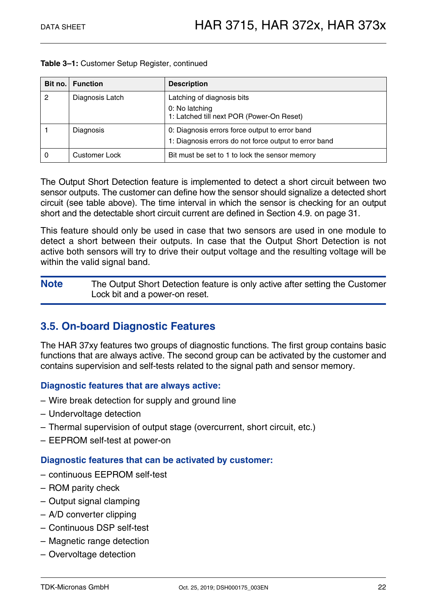| Bit no. | <b>Function</b>      | <b>Description</b>                                                                                      |
|---------|----------------------|---------------------------------------------------------------------------------------------------------|
| 2       | Diagnosis Latch      | Latching of diagnosis bits<br>0: No latching<br>1: Latched till next POR (Power-On Reset)               |
|         | Diagnosis            | 0: Diagnosis errors force output to error band<br>1: Diagnosis errors do not force output to error band |
|         | <b>Customer Lock</b> | Bit must be set to 1 to lock the sensor memory                                                          |

**Table 3–1:** Customer Setup Register, continued

The Output Short Detection feature is implemented to detect a short circuit between two sensor outputs. The customer can define how the sensor should signalize a detected short circuit (see table above). The time interval in which the sensor is checking for an output short and the detectable short circuit current are defined in [Section 4.9. on page 31](#page-30-1).

This feature should only be used in case that two sensors are used in one module to detect a short between their outputs. In case that the Output Short Detection is not active both sensors will try to drive their output voltage and the resulting voltage will be within the valid signal band.

**Note** The Output Short Detection feature is only active after setting the Customer Lock bit and a power-on reset.

## <span id="page-21-0"></span>**3.5. On-board Diagnostic Features**

The HAR 37xy features two groups of diagnostic functions. The first group contains basic functions that are always active. The second group can be activated by the customer and contains supervision and self-tests related to the signal path and sensor memory.

#### **Diagnostic features that are always active:**

- Wire break detection for supply and ground line
- Undervoltage detection
- Thermal supervision of output stage (overcurrent, short circuit, etc.)
- EEPROM self-test at power-on

#### **Diagnostic features that can be activated by customer:**

- continuous EEPROM self-test
- ROM parity check
- Output signal clamping
- A/D converter clipping
- Continuous DSP self-test
- Magnetic range detection
- Overvoltage detection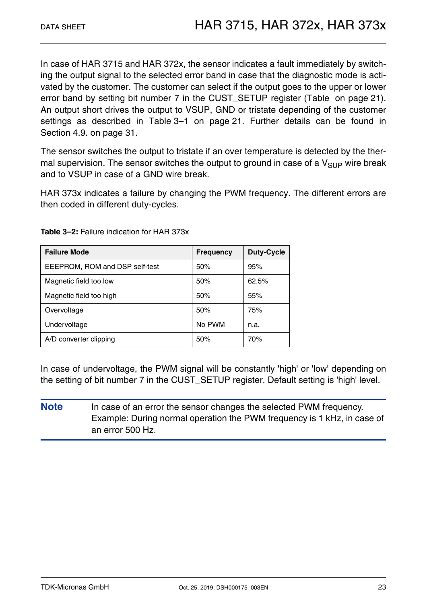In case of HAR 3715 and HAR 372x, the sensor indicates a fault immediately by switching the output signal to the selected error band in case that the diagnostic mode is activated by the customer. The customer can select if the output goes to the upper or lower error band by setting bit number 7 in the CUST SETUP register [\(Table on page 21](#page-20-1)). An output short drives the output to VSUP, GND or tristate depending of the customer settings as described in [Table 3–1 on page 21.](#page-20-2) Further details can be found in [Section 4.9. on page 31.](#page-30-1)

The sensor switches the output to tristate if an over temperature is detected by the thermal supervision. The sensor switches the output to ground in case of a  $V_{\text{SUP}}$  wire break and to VSUP in case of a GND wire break.

HAR 373x indicates a failure by changing the PWM frequency. The different errors are then coded in different duty-cycles.

| <b>Failure Mode</b>            | <b>Frequency</b> | <b>Duty-Cycle</b> |
|--------------------------------|------------------|-------------------|
| EEEPROM, ROM and DSP self-test | 50%              | 95%               |
| Magnetic field too low         | 50%              | 62.5%             |
| Magnetic field too high        | 50%              | 55%               |
| Overvoltage                    | 50%              | 75%               |
| Undervoltage                   | No PWM           | n.a.              |
| A/D converter clipping         | 50%              | 70%               |

**Table 3–2:** Failure indication for HAR 373x

In case of undervoltage, the PWM signal will be constantly 'high' or 'low' depending on the setting of bit number 7 in the CUST\_SETUP register. Default setting is 'high' level.

**Note** In case of an error the sensor changes the selected PWM frequency. Example: During normal operation the PWM frequency is 1 kHz, in case of an error 500 Hz.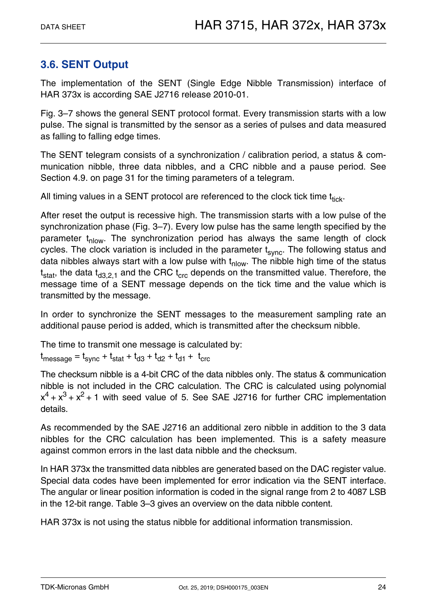## <span id="page-23-0"></span>**3.6. SENT Output**

The implementation of the SENT (Single Edge Nibble Transmission) interface of HAR 373x is according SAE J2716 release 2010-01.

[Fig. 3–7](#page-24-0) shows the general SENT protocol format. Every transmission starts with a low pulse. The signal is transmitted by the sensor as a series of pulses and data measured as falling to falling edge times.

The SENT telegram consists of a synchronization / calibration period, a status & communication nibble, three data nibbles, and a CRC nibble and a pause period. See [Section 4.9. on page 31](#page-30-1) for the timing parameters of a telegram.

All timing values in a SENT protocol are referenced to the clock tick time  $t_{\text{tick}}$ .

After reset the output is recessive high. The transmission starts with a low pulse of the synchronization phase ([Fig. 3–7\)](#page-24-0). Every low pulse has the same length specified by the parameter  $t_{\text{nlow}}$ . The synchronization period has always the same length of clock cycles. The clock variation is included in the parameter  $t<sub>sync</sub>$ . The following status and data nibbles always start with a low pulse with  $t_{\text{slow}}$ . The nibble high time of the status  $t<sub>stat</sub>$ , the data  $t<sub>d3.2.1</sub>$  and the CRC  $t<sub>crc</sub>$  depends on the transmitted value. Therefore, the message time of a SENT message depends on the tick time and the value which is transmitted by the message.

In order to synchronize the SENT messages to the measurement sampling rate an additional pause period is added, which is transmitted after the checksum nibble.

The time to transmit one message is calculated by:  $t_{\text{message}} = t_{\text{sync}} + t_{\text{stat}} + t_{\text{d3}} + t_{\text{d2}} + t_{\text{d1}} + t_{\text{crc}}$ 

The checksum nibble is a 4-bit CRC of the data nibbles only. The status & communication nibble is not included in the CRC calculation. The CRC is calculated using polynomial  $x^4 + x^3 + x^2 + 1$  with seed value of 5. See SAE J2716 for further CRC implementation details.

As recommended by the SAE J2716 an additional zero nibble in addition to the 3 data nibbles for the CRC calculation has been implemented. This is a safety measure against common errors in the last data nibble and the checksum.

In HAR 373x the transmitted data nibbles are generated based on the DAC register value. Special data codes have been implemented for error indication via the SENT interface. The angular or linear position information is coded in the signal range from 2 to 4087 LSB in the 12-bit range. [Table 3–3](#page-24-1) gives an overview on the data nibble content.

HAR 373x is not using the status nibble for additional information transmission.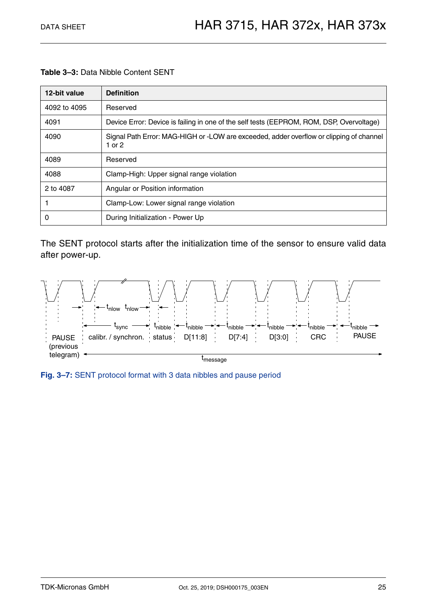<span id="page-24-1"></span>**Table 3–3:** Data Nibble Content SENT

| 12-bit value | <b>Definition</b>                                                                                 |
|--------------|---------------------------------------------------------------------------------------------------|
| 4092 to 4095 | Reserved                                                                                          |
| 4091         | Device Error: Device is failing in one of the self tests (EEPROM, ROM, DSP, Overvoltage)          |
| 4090         | Signal Path Error: MAG-HIGH or -LOW are exceeded, adder overflow or clipping of channel<br>1 or 2 |
| 4089         | Reserved                                                                                          |
| 4088         | Clamp-High: Upper signal range violation                                                          |
| 2 to 4087    | Angular or Position information                                                                   |
|              | Clamp-Low: Lower signal range violation                                                           |
| 0            | During Initialization - Power Up                                                                  |

The SENT protocol starts after the initialization time of the sensor to ensure valid data after power-up.



<span id="page-24-0"></span>**Fig. 3–7:** SENT protocol format with 3 data nibbles and pause period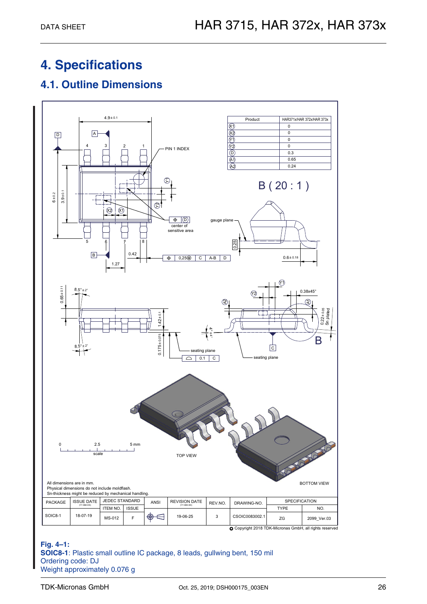## <span id="page-25-0"></span>**4. Specifications**

## <span id="page-25-1"></span>**4.1. Outline Dimensions**



**Fig. 4–1: SOIC8-1**: Plastic small outline IC package, 8 leads, gullwing bent, 150 mil Ordering code: DJ Weight approximately 0.076 g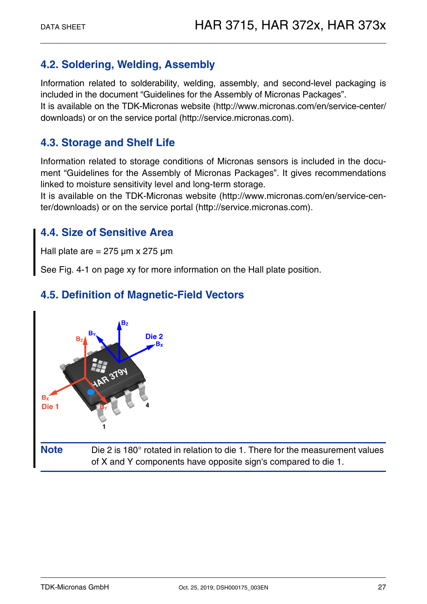## <span id="page-26-0"></span>**4.2. Soldering, Welding, Assembly**

Information related to solderability, welding, assembly, and second-level packaging is included in the document "Guidelines for the Assembly of Micronas Packages". It is available on the TDK-Micronas website (http://www.micronas.com/en/service-center/ downloads) or on the service portal (http://service.micronas.com).

### <span id="page-26-1"></span>**4.3. Storage and Shelf Life**

Information related to storage conditions of Micronas sensors is included in the document "Guidelines for the Assembly of Micronas Packages". It gives recommendations linked to moisture sensitivity level and long-term storage.

It is available on the TDK-Micronas website (http://www.micronas.com/en/service-center/downloads) or on the service portal (http://service.micronas.com).

### <span id="page-26-2"></span>**4.4. Size of Sensitive Area**

Hall plate are  $= 275 \mu m \times 275 \mu m$ 

See Fig. 4-1 on page xy for more information on the Hall plate position.

## <span id="page-26-3"></span>**4.5. Definition of Magnetic-Field Vectors**

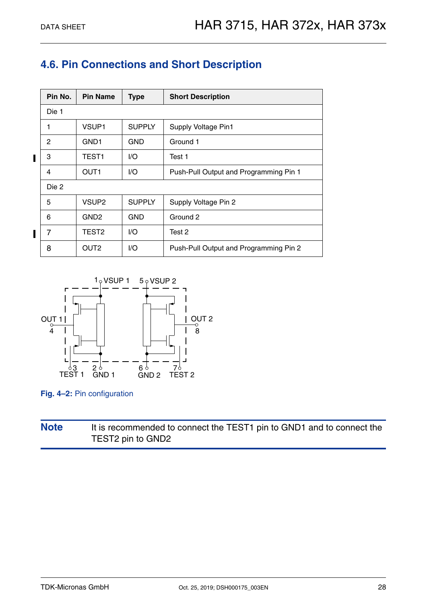## <span id="page-27-0"></span>**4.6. Pin Connections and Short Description**

|   | Pin No.      | <b>Pin Name</b>   | <b>Type</b>   | <b>Short Description</b>               |
|---|--------------|-------------------|---------------|----------------------------------------|
|   | Die 1        |                   |               |                                        |
|   | 1            | VSUP1             | <b>SUPPLY</b> | Supply Voltage Pin1                    |
|   | $\mathbf{2}$ | GND <sub>1</sub>  | <b>GND</b>    | Ground 1                               |
| I | 3            | TEST <sub>1</sub> | I/O           | Test 1                                 |
|   | 4            | OUT <sub>1</sub>  | 1/O           | Push-Pull Output and Programming Pin 1 |
|   | Die 2        |                   |               |                                        |
|   | 5            | VSUP <sub>2</sub> | <b>SUPPLY</b> | Supply Voltage Pin 2                   |
|   | 6            | GND <sub>2</sub>  | <b>GND</b>    | Ground 2                               |
|   | 7            | TEST <sub>2</sub> | 1/O           | Test 2                                 |
|   | 8            | OUT <sub>2</sub>  | I/O           | Push-Pull Output and Programming Pin 2 |



**Fig. 4–2:** Pin configuration

### **Note** It is recommended to connect the TEST1 pin to GND1 and to connect the TEST2 pin to GND2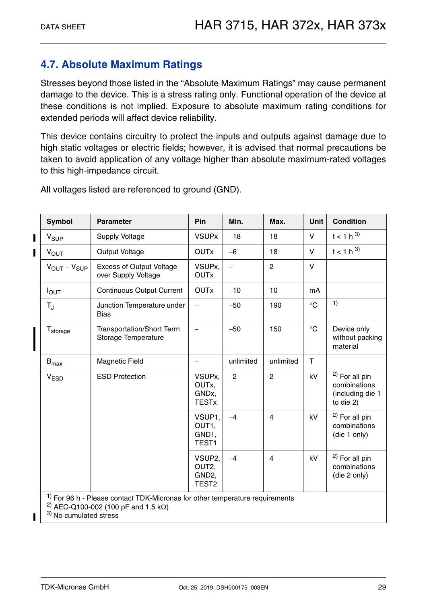## <span id="page-28-0"></span>**4.7. Absolute Maximum Ratings**

Stresses beyond those listed in the "Absolute Maximum Ratings" may cause permanent damage to the device. This is a stress rating only. Functional operation of the device at these conditions is not implied. Exposure to absolute maximum rating conditions for extended periods will affect device reliability.

This device contains circuitry to protect the inputs and outputs against damage due to high static voltages or electric fields; however, it is advised that normal precautions be taken to avoid application of any voltage higher than absolute maximum-rated voltages to this high-impedance circuit.

**Symbol Parameter Pin Min. Max. Unit Condition**  $V_{SIIP}$  Supply Voltage  $VSIIPx$  |  $-18$  |  $18$  |  $V$  |  $t < 1 h^{3}$ VOUT Output Voltage OUTx 6 18 V t < 1 h 3)  $V_{\text{OUT}} - V_{\text{SUP}}$  Excess of Output Voltage over Supply Voltage VSUPx, OUTx – 2 | V  $I_{\text{OUT}}$  | Continuous Output Current | OUTx | -10 | 10 | mA T<sub>J</sub> Junction Temperature under Bias 50 190 °C 1) T<sub>storage</sub> | Transportation/Short Term Storage Temperature  $-50$  150  $\degree$  Device only without packing material  $B_{\text{max}}$  | Magnetic Field  $\vert - \vert$  unlimited | unlimited | T V<sub>ESD</sub> | ESD Protection | VSUPx, OUTx, GNDx, TESTx  $-2$  2  $\left| 2 \right|$  kV  $\left| 2 \right|$  For all pin combinations (including die 1 to die 2) VSUP1, OUT1, GND1, TEST1  $-4$  4  $\left| 4 \right|$  kV  $\left| 2 \right|$  For all pin combinations (die 1 only) VSUP2, OUT2, GND2, TEST2  $-4$  4  $\left| 4 \right|$  kV  $\left| 2 \right|$  For all pin combinations (die 2 only)  $1)$  For 96 h - Please contact TDK-Micronas for other temperature requirements <sup>2)</sup> AEC-Q100-002 (100 pF and 1.5 k $\Omega$ )

All voltages listed are referenced to ground (GND).

3) No cumulated stress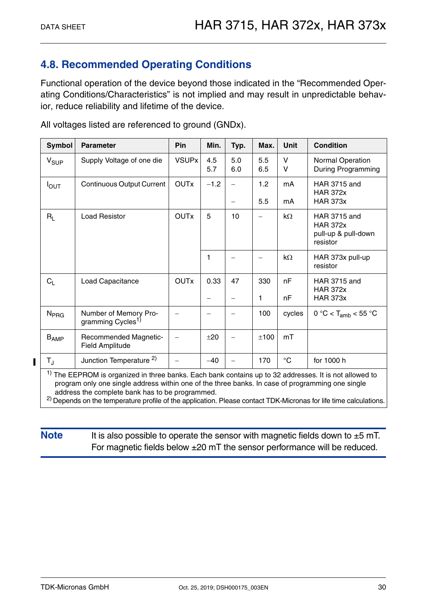## <span id="page-29-0"></span>**4.8. Recommended Operating Conditions**

Functional operation of the device beyond those indicated in the "Recommended Operating Conditions/Characteristics" is not implied and may result in unpredictable behavior, reduce reliability and lifetime of the device.

| <b>Symbol</b>    | <b>Parameter</b>                                                                                                                                                                                                                                                                                                                                                                                         | Pin          | Min.                      | Typ.       | Max.                     | <b>Unit</b>  | <b>Condition</b>                                                          |
|------------------|----------------------------------------------------------------------------------------------------------------------------------------------------------------------------------------------------------------------------------------------------------------------------------------------------------------------------------------------------------------------------------------------------------|--------------|---------------------------|------------|--------------------------|--------------|---------------------------------------------------------------------------|
| $V_{SUP}$        | Supply Voltage of one die                                                                                                                                                                                                                                                                                                                                                                                | <b>VSUPx</b> | 4.5<br>5.7                | 5.0<br>6.0 | 5.5<br>6.5               | V<br>v       | Normal Operation<br>During Programming                                    |
| $I_{\text{OUT}}$ | <b>Continuous Output Current</b>                                                                                                                                                                                                                                                                                                                                                                         | <b>OUTx</b>  | $-1.2$                    | $\equiv$   | 1.2<br>5.5               | mA<br>mA     | <b>HAR 3715 and</b><br><b>HAR 372x</b><br><b>HAR 373x</b>                 |
| $R_{\rm L}$      | <b>Load Resistor</b>                                                                                                                                                                                                                                                                                                                                                                                     | <b>OUTx</b>  | 5                         | 10         | $\overline{\phantom{m}}$ | $k\Omega$    | <b>HAR 3715 and</b><br><b>HAR 372x</b><br>pull-up & pull-down<br>resistor |
|                  |                                                                                                                                                                                                                                                                                                                                                                                                          |              | 1                         |            |                          | kΩ           | HAR 373x pull-up<br>resistor                                              |
| $C_L$            | Load Capacitance                                                                                                                                                                                                                                                                                                                                                                                         | <b>OUTx</b>  | 0.33<br>$\qquad \qquad -$ | 47         | 330<br>1                 | nF<br>nF     | <b>HAR 3715 and</b><br><b>HAR 372x</b><br><b>HAR 373x</b>                 |
| N <sub>PRG</sub> | Number of Memory Pro-<br>gramming Cycles <sup>1)</sup>                                                                                                                                                                                                                                                                                                                                                   |              | -                         |            | 100                      | cycles       | $0 °C < T_{amb} < 55 °C$                                                  |
| $B_{AMP}$        | <b>Recommended Magnetic-</b><br><b>Field Amplitude</b>                                                                                                                                                                                                                                                                                                                                                   |              | ±20                       |            | ±100                     | mT           |                                                                           |
| $T_{\rm J}$      | Junction Temperature <sup>2)</sup>                                                                                                                                                                                                                                                                                                                                                                       |              | $-40$                     |            | 170                      | $^{\circ}$ C | for 1000 h                                                                |
|                  | <sup>1)</sup> The EEPROM is organized in three banks. Each bank contains up to 32 addresses. It is not allowed to<br>program only one single address within one of the three banks. In case of programming one single<br>address the complete bank has to be programmed.<br><sup>2)</sup> Depends on the temperature profile of the application. Please contact TDK-Micronas for life time calculations. |              |                           |            |                          |              |                                                                           |

All voltages listed are referenced to ground (GNDx).

**Note** It is also possible to operate the sensor with magnetic fields down to  $\pm 5$  mT. For magnetic fields below ±20 mT the sensor performance will be reduced.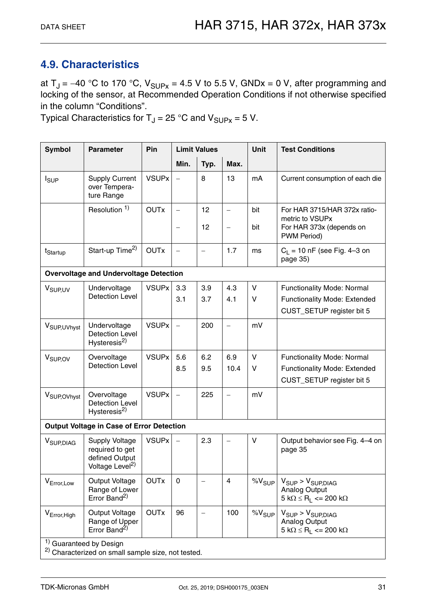## <span id="page-30-1"></span><span id="page-30-0"></span>**4.9. Characteristics**

at  $T_J = -40$  °C to 170 °C,  $V_{SUPX} = 4.5$  V to 5.5 V, GNDx = 0 V, after programming and locking of the sensor, at Recommended Operation Conditions if not otherwise specified in the column "Conditions".

Typical Characteristics for  $T_J = 25$  °C and  $V_{\text{SUPX}} = 5$  V.

| <b>Symbol</b>            | <b>Parameter</b>                                                                                    | Pin          |                          | <b>Limit Values</b>      |                          | Unit        | <b>Test Conditions</b>                                                                                        |
|--------------------------|-----------------------------------------------------------------------------------------------------|--------------|--------------------------|--------------------------|--------------------------|-------------|---------------------------------------------------------------------------------------------------------------|
|                          |                                                                                                     |              | Min.                     | Typ.                     | Max.                     |             |                                                                                                               |
| I <sub>SUP</sub>         | <b>Supply Current</b><br>over Tempera-<br>ture Range                                                | <b>VSUPx</b> | $\overline{\phantom{0}}$ | 8                        | 13                       | mA          | Current consumption of each die                                                                               |
|                          | Resolution <sup>1)</sup>                                                                            | <b>OUTx</b>  |                          | 12                       | $\qquad \qquad -$        | bit         | For HAR 3715/HAR 372x ratio-<br>metric to VSUPx                                                               |
|                          |                                                                                                     |              | $\overline{\phantom{0}}$ | 12                       | $\overline{\phantom{0}}$ | bit         | For HAR 373x (depends on<br>PWM Period)                                                                       |
| t <sub>Startup</sub>     | Start-up Time <sup>2)</sup>                                                                         | <b>OUTx</b>  | $\overline{\phantom{0}}$ | $\overline{\phantom{0}}$ | 1.7                      | ms          | $C_1 = 10$ nF (see Fig. 4-3 on<br>page 35)                                                                    |
|                          | <b>Overvoltage and Undervoltage Detection</b>                                                       |              |                          |                          |                          |             |                                                                                                               |
| V <sub>SUP, UV</sub>     | Undervoltage                                                                                        | <b>VSUPx</b> | 3.3                      | 3.9                      | 4.3                      | V           | <b>Functionality Mode: Normal</b>                                                                             |
|                          | <b>Detection Level</b>                                                                              |              | 3.1                      | 3.7                      | 4.1                      | $\vee$      | <b>Functionality Mode: Extended</b>                                                                           |
|                          |                                                                                                     |              |                          |                          |                          |             | CUST_SETUP register bit 5                                                                                     |
| V <sub>SUP, UVhyst</sub> | Undervoltage<br><b>Detection Level</b><br>Hysteresis <sup>2)</sup>                                  | <b>VSUPx</b> | $\equiv$                 | 200                      | $\overline{\phantom{0}}$ | mV          |                                                                                                               |
| V <sub>SUP, OV</sub>     | Overvoltage                                                                                         | <b>VSUPx</b> | 5.6                      | 6.2                      | 6.9                      | $\vee$      | <b>Functionality Mode: Normal</b>                                                                             |
|                          | <b>Detection Level</b>                                                                              |              | 8.5                      | 9.5                      | 10.4                     | $\vee$      | <b>Functionality Mode: Extended</b>                                                                           |
|                          |                                                                                                     |              |                          |                          |                          |             | CUST_SETUP register bit 5                                                                                     |
| V <sub>SUP, OVhyst</sub> | Overvoltage<br><b>Detection Level</b><br>Hysteresis <sup>2)</sup>                                   | <b>VSUPx</b> | $\overline{\phantom{0}}$ | 225                      | $\overline{\phantom{m}}$ | mV          |                                                                                                               |
|                          | <b>Output Voltage in Case of Error Detection</b>                                                    |              |                          |                          |                          |             |                                                                                                               |
| V <sub>SUP, DIAG</sub>   | Supply Voltage<br>required to get<br>defined Output<br>Voltage Level <sup>2)</sup>                  | <b>VSUPx</b> | $\overline{\phantom{0}}$ | 2.3                      | $\overline{\phantom{0}}$ | $\vee$      | Output behavior see Fig. 4-4 on<br>page 35                                                                    |
| V <sub>Error, Low</sub>  | Output Voltage<br>Range of Lower<br>Error Band <sup>2)</sup>                                        | <b>OUTx</b>  | $\mathbf 0$              |                          | $\overline{4}$           | $\%V_{SUP}$ | $V_{SUP}$ > $V_{SUPD IAG}$<br><b>Analog Output</b><br>$5 k\Omega \le R_1 \le 200 k\Omega$                     |
| V <sub>Error, High</sub> | Output Voltage<br>Range of Upper<br>Error Band <sup>2)</sup>                                        | <b>OUTx</b>  | 96                       |                          | 100                      | $\%V_{SUP}$ | $V_{SUP}$ > $V_{SUP, D IAG}$<br><b>Analog Output</b><br>$5 \text{ k}\Omega \leq R_1 \leq 200 \text{ k}\Omega$ |
|                          | <sup>1)</sup> Guaranteed by Design<br><sup>2)</sup> Characterized on small sample size, not tested. |              |                          |                          |                          |             |                                                                                                               |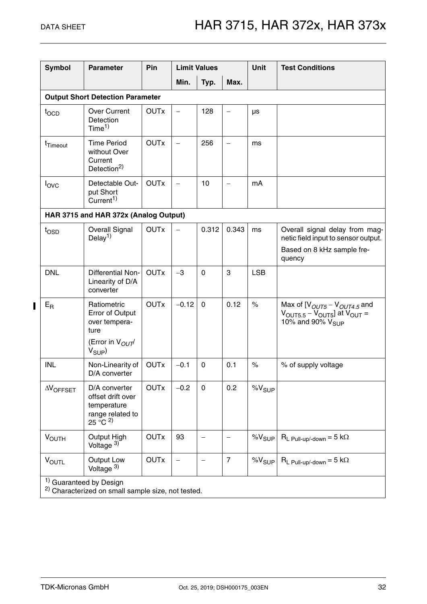$\overline{\phantom{a}}$ 

| <b>Symbol</b>        | <b>Parameter</b>                                                                                    | Pin         |                          | <b>Limit Values</b>      |                   | <b>Unit</b>       | <b>Test Conditions</b>                                                                                                       |  |  |  |  |
|----------------------|-----------------------------------------------------------------------------------------------------|-------------|--------------------------|--------------------------|-------------------|-------------------|------------------------------------------------------------------------------------------------------------------------------|--|--|--|--|
|                      |                                                                                                     |             | Min.                     | Typ.                     | Max.              |                   |                                                                                                                              |  |  |  |  |
|                      | <b>Output Short Detection Parameter</b>                                                             |             |                          |                          |                   |                   |                                                                                                                              |  |  |  |  |
| tocp                 | <b>Over Current</b><br>Detection<br>Time <sup>1</sup>                                               | <b>OUTx</b> | $\overline{\phantom{0}}$ | 128                      | $\qquad \qquad -$ | $\mu s$           |                                                                                                                              |  |  |  |  |
| t <sub>Timeout</sub> | <b>Time Period</b><br>without Over<br>Current<br>Detection <sup>2)</sup>                            | <b>OUTx</b> | $\overline{\phantom{0}}$ | 256                      | $\qquad \qquad -$ | ms                |                                                                                                                              |  |  |  |  |
| $I_{\text{OVC}}$     | Detectable Out-<br>put Short<br>Current <sup>1)</sup>                                               | <b>OUTx</b> | $\overline{\phantom{0}}$ | 10                       | $\qquad \qquad -$ | mA                |                                                                                                                              |  |  |  |  |
|                      | HAR 3715 and HAR 372x (Analog Output)                                                               |             |                          |                          |                   |                   |                                                                                                                              |  |  |  |  |
| $t_{\text{OSD}}$     | <b>Overall Signal</b><br>Delay <sup>1)</sup>                                                        | <b>OUTx</b> | $\overline{\phantom{0}}$ | 0.312                    | 0.343             | ms                | Overall signal delay from mag-<br>netic field input to sensor output.<br>Based on 8 kHz sample fre-<br>quency                |  |  |  |  |
| <b>DNL</b>           | <b>Differential Non-</b><br>Linearity of D/A<br>converter                                           | <b>OUTx</b> | $-3$                     | $\mathbf 0$              | 3                 | <b>LSB</b>        |                                                                                                                              |  |  |  |  |
| $E_R$                | Ratiometric<br>Error of Output<br>over tempera-<br>ture<br>(Error in $V_{OUT}$<br>$V_{SUP}$         | <b>OUTx</b> | $-0.12$                  | $\mathbf 0$              | 0.12              | $\frac{1}{2}$     | Max of $[VOUT5 - VOUT4.5$ and<br>$V_{\text{OUT5.5}} - V_{\text{OUT5}}$ at $V_{\text{OUT}} =$<br>10% and 90% V <sub>SUP</sub> |  |  |  |  |
| <b>INL</b>           | Non-Linearity of<br>D/A converter                                                                   | <b>OUTx</b> | $-0.1$                   | $\mathbf 0$              | 0.1               | $\%$              | % of supply voltage                                                                                                          |  |  |  |  |
| $\Delta V$ OFFSET    | D/A converter<br>offset drift over<br>temperature<br>range related to<br>$25 \, ^{\circ}$ C $^{2)}$ | <b>OUTx</b> | $-0.2$                   | 0                        | 0.2               | $\% \rm{V_{SUP}}$ |                                                                                                                              |  |  |  |  |
| <b>VOUTH</b>         | Output High<br>Voltage <sup>3)</sup>                                                                | <b>OUTx</b> | 93                       | —                        |                   | $\%V_{SUP}$       | $R_L$ Pull-up/-down = 5 k $\Omega$                                                                                           |  |  |  |  |
| $V_{\text{OUTL}}$    | Output Low<br>Voltage $3)$                                                                          | <b>OUTx</b> | $\overline{\phantom{0}}$ | $\overline{\phantom{0}}$ | $\overline{7}$    | $\%V_{SUP}$       | $R_L$ Pull-up/-down = 5 k $\Omega$                                                                                           |  |  |  |  |
|                      | <sup>1)</sup> Guaranteed by Design                                                                  |             |                          |                          |                   |                   |                                                                                                                              |  |  |  |  |

<sup>2)</sup> Characterized on small sample size, not tested.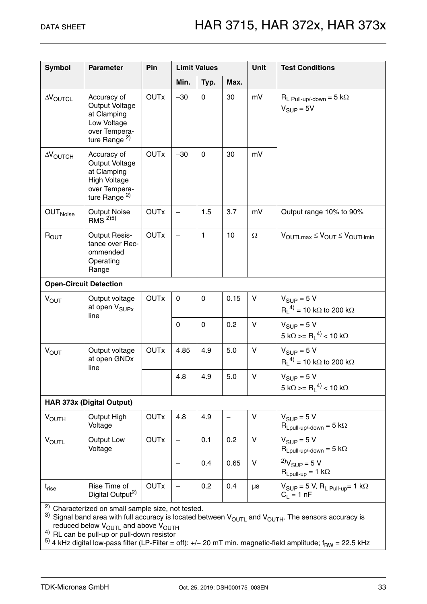| <b>Symbol</b>             | <b>Parameter</b>                                                                                                                                                                      | Pin         |                          | <b>Limit Values</b> |      | <b>Unit</b>  | <b>Test Conditions</b>                                                                                                                 |  |
|---------------------------|---------------------------------------------------------------------------------------------------------------------------------------------------------------------------------------|-------------|--------------------------|---------------------|------|--------------|----------------------------------------------------------------------------------------------------------------------------------------|--|
|                           |                                                                                                                                                                                       |             | Min.                     | Typ.                | Max. |              |                                                                                                                                        |  |
| <b>AVOUTCL</b>            | Accuracy of<br>Output Voltage<br>at Clamping<br>Low Voltage<br>over Tempera-<br>ture Range $^{2)}$                                                                                    | <b>OUTx</b> | $-30$                    | $\Omega$            | 30   | mV           | $R_L$ Pull-up/-down = 5 k $\Omega$<br>$V_{SUP} = 5V$                                                                                   |  |
| $\Delta V_{\text{OUTCH}}$ | Accuracy of<br>Output Voltage<br>at Clamping<br><b>High Voltage</b><br>over Tempera-<br>ture Range $^{2)}$                                                                            | <b>OUTx</b> | $-30$                    | $\mathbf 0$         | 30   | mV           |                                                                                                                                        |  |
| <b>OUT</b> Noise          | <b>Output Noise</b><br>RMS <sup>2)5)</sup>                                                                                                                                            | <b>OUTx</b> | $\overline{\phantom{0}}$ | 1.5                 | 3.7  | mV           | Output range 10% to 90%                                                                                                                |  |
| $R_{OUT}$                 | <b>Output Resis-</b><br>tance over Rec-<br>ommended<br>Operating<br>Range                                                                                                             | <b>OUTx</b> | $\overline{\phantom{0}}$ | 1                   | 10   | $\Omega$     | $V_{\text{OUTLmax}} \leq V_{\text{OUT}} \leq V_{\text{OUTHmin}}$                                                                       |  |
|                           | <b>Open-Circuit Detection</b>                                                                                                                                                         |             |                          |                     |      |              |                                                                                                                                        |  |
| $V_{OUT}$                 | Output voltage<br>at open V <sub>SUPx</sub><br>line                                                                                                                                   | <b>OUTx</b> | $\mathbf 0$              | $\mathbf 0$         | 0.15 | V            | $V_{SIIP} = 5 V$<br>$R_1^{(4)} = 10 \text{ k}\Omega$ to 200 k $\Omega$                                                                 |  |
|                           |                                                                                                                                                                                       |             | 0                        | $\mathbf 0$         | 0.2  | $\vee$       | $V_{SIIP} = 5 V$<br>5 kΩ >= R <sub>L</sub> <sup>4)</sup> < 10 kΩ                                                                       |  |
| <b>VOUT</b>               | Output voltage<br>at open GNDx<br>line                                                                                                                                                | <b>OUTx</b> | 4.85                     | 4.9                 | 5.0  | V            | $V_{SIIP} = 5 V$<br>$R_1^{(4)} = 10 \text{ k}\Omega$ to 200 k $\Omega$                                                                 |  |
|                           |                                                                                                                                                                                       |             | 4.8                      | 4.9                 | 5.0  | V            | $V_{\text{SUP}} = 5 V$<br>5 kΩ >= R <sub>1</sub> <sup>4)</sup> < 10 kΩ                                                                 |  |
|                           | <b>HAR 373x (Digital Output)</b>                                                                                                                                                      |             |                          |                     |      |              |                                                                                                                                        |  |
| <b>VOUTH</b>              | Output High<br>Voltage                                                                                                                                                                | <b>OUTx</b> | 4.8                      | 4.9                 |      | V            | $V_{SIIP} = 5 V$<br>$R_{Lpull-up\}/text{down} = 5 k\Omega$                                                                             |  |
| $V_{\text{OUTL}}$         | Output Low<br>Voltage                                                                                                                                                                 | <b>OUTx</b> |                          | 0.1                 | 0.2  | $\mathsf{V}$ | $V_{SIIP} = 5 V$<br>$R_{Lpull-up/\text{-down}} = 5 k\Omega$                                                                            |  |
|                           |                                                                                                                                                                                       |             |                          | 0.4                 | 0.65 | V            | <sup>2</sup> $V_{SUP}$ = 5 V<br>$R_{Lpull-up} = 1 k\Omega$                                                                             |  |
| $t_{rise}$                | Rise Time of<br>Digital Output <sup>2)</sup>                                                                                                                                          | <b>OUTx</b> |                          | 0.2                 | 0.4  | $\mu s$      | $V_{\text{SUP}} = 5$ V, R <sub>L Pull-up</sub> = 1 k $\Omega$<br>$C_1 = 1 nF$                                                          |  |
|                           | <sup>2)</sup> Characterized on small sample size, not tested.<br>reduced below $V_{\text{OUTI}}$ and above $V_{\text{OUTH}}$<br><sup>4)</sup> RL can be pull-up or pull-down resistor |             |                          |                     |      |              | <sup>3)</sup> Signal band area with full accuracy is located between $V_{\text{OUTL}}$ and $V_{\text{OUTH}}$ . The sensors accuracy is |  |

<sup>5)</sup> 4 kHz digital low-pass filter (LP-Filter = off): +/– 20 mT min. magnetic-field amplitude; f<sub>BW</sub> = 22.5 kHz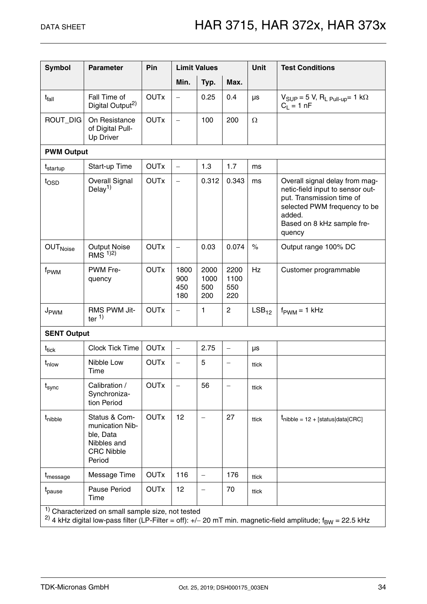| <b>Symbol</b>        | <b>Parameter</b>                                                                            | Pin         |                           | <b>Limit Values</b>        |                            | <b>Unit</b> | <b>Test Conditions</b>                                                                                                                                                            |
|----------------------|---------------------------------------------------------------------------------------------|-------------|---------------------------|----------------------------|----------------------------|-------------|-----------------------------------------------------------------------------------------------------------------------------------------------------------------------------------|
|                      |                                                                                             |             | Min.                      | Typ.                       | Max.                       |             |                                                                                                                                                                                   |
| t <sub>fall</sub>    | Fall Time of<br>Digital Output <sup>2)</sup>                                                | <b>OUTx</b> |                           | 0.25                       | 0.4                        | μs          | $V_{SUP} = 5 V$ , $R_L_{Pull-up} = 1 k\Omega$<br>$C_1 = 1 nF$                                                                                                                     |
| ROUT_DIG             | On Resistance<br>of Digital Pull-<br>Up Driver                                              | <b>OUTx</b> | $\qquad \qquad -$         | 100                        | 200                        | $\Omega$    |                                                                                                                                                                                   |
| <b>PWM Output</b>    |                                                                                             |             |                           |                            |                            |             |                                                                                                                                                                                   |
| t <sub>startup</sub> | Start-up Time                                                                               | <b>OUTx</b> | $\overline{\phantom{a}}$  | 1.3                        | 1.7                        | ms          |                                                                                                                                                                                   |
| $t_{\text{OSD}}$     | <b>Overall Signal</b><br>Delay <sup>1)</sup>                                                | <b>OUTx</b> | $\overline{\phantom{0}}$  | 0.312                      | 0.343                      | ms          | Overall signal delay from mag-<br>netic-field input to sensor out-<br>put. Transmission time of<br>selected PWM frequency to be<br>added.<br>Based on 8 kHz sample fre-<br>quency |
| OUT <sub>Noise</sub> | <b>Output Noise</b><br>RMS $1/2$                                                            | <b>OUTx</b> | $\qquad \qquad -$         | 0.03                       | 0.074                      | $\%$        | Output range 100% DC                                                                                                                                                              |
| f <sub>PWM</sub>     | PWM Fre-<br>quency                                                                          | <b>OUTx</b> | 1800<br>900<br>450<br>180 | 2000<br>1000<br>500<br>200 | 2200<br>1100<br>550<br>220 | <b>Hz</b>   | Customer programmable                                                                                                                                                             |
| J <sub>PWM</sub>     | RMS PWM Jit-<br>ter $1$ )                                                                   | <b>OUTx</b> | $\qquad \qquad -$         | 1                          | $\mathbf{2}$               | $LSB_{12}$  | $f_{\text{PWM}} = 1$ kHz                                                                                                                                                          |
| <b>SENT Output</b>   |                                                                                             |             |                           |                            |                            |             |                                                                                                                                                                                   |
| $t_{tick}$           | <b>Clock Tick Time</b>                                                                      | <b>OUTx</b> | $\qquad \qquad -$         | 2.75                       | $\overline{\phantom{m}}$   | $\mu s$     |                                                                                                                                                                                   |
| t <sub>nlow</sub>    | Nibble Low<br>Time                                                                          | <b>OUTx</b> | $\overline{\phantom{0}}$  | 5                          | $\overline{\phantom{0}}$   | ttick       |                                                                                                                                                                                   |
| $t_{\sf sync}$       | Calibration /<br>Synchroniza-<br>tion Period                                                | <b>OUTx</b> |                           | 56                         |                            | ttick       |                                                                                                                                                                                   |
| t <sub>nibble</sub>  | Status & Com-<br>munication Nib-<br>ble, Data<br>Nibbles and<br><b>CRC Nibble</b><br>Period | <b>OUTx</b> | 12                        | $\overline{\phantom{0}}$   | 27                         | ttick       | $t_{\text{nible}} = 12 + [\text{status} \text{data}  \text{CRC}]$                                                                                                                 |
| t <sub>message</sub> | Message Time                                                                                | <b>OUTx</b> | 116                       | $\overline{\phantom{0}}$   | 176                        | ttick       |                                                                                                                                                                                   |
| t <sub>pause</sub>   | Pause Period<br>Time                                                                        | <b>OUTx</b> | 12                        |                            | 70                         | ttick       |                                                                                                                                                                                   |
|                      | <sup>1)</sup> Characterized on small sample size, not tested                                |             |                           |                            |                            |             | <sup>2)</sup> 4 kHz digital low-pass filter (LP-Filter = off): +/- 20 mT min. magnetic-field amplitude; f <sub>BW</sub> = 22.5 kHz                                                |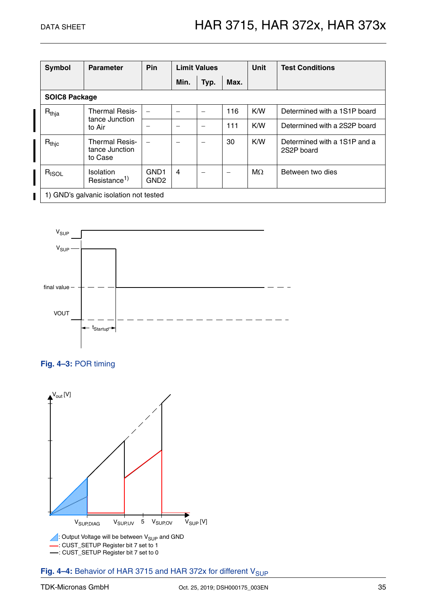| Symbol               | <b>Parameter</b>                                   | Pin                                  |                | <b>Limit Values</b> |      |           | <b>Test Conditions</b>                     |  |  |  |
|----------------------|----------------------------------------------------|--------------------------------------|----------------|---------------------|------|-----------|--------------------------------------------|--|--|--|
|                      |                                                    |                                      | Min.           | Typ.                | Max. |           |                                            |  |  |  |
| <b>SOIC8 Package</b> |                                                    |                                      |                |                     |      |           |                                            |  |  |  |
| $R_{thja}$           | <b>Thermal Resis-</b><br>tance Junction            |                                      |                |                     | 116  | K/W       | Determined with a 1S1P board               |  |  |  |
|                      | to Air                                             |                                      | -              |                     | 111  | K/W       | Determined with a 2S2P board               |  |  |  |
| $R_{thic}$           | <b>Thermal Resis-</b><br>tance Junction<br>to Case |                                      | -              |                     | 30   | K/W       | Determined with a 1S1P and a<br>2S2P board |  |  |  |
| $R_{ISOL}$           | Isolation<br>Resistance <sup>1)</sup>              | GND <sub>1</sub><br>GND <sub>2</sub> | $\overline{4}$ |                     |      | $M\Omega$ | Between two dies                           |  |  |  |
|                      | 1) GND's galvanic isolation not tested             |                                      |                |                     |      |           |                                            |  |  |  |



<span id="page-34-0"></span>



<span id="page-34-1"></span>Fig. 4-4: Behavior of HAR 3715 and HAR 372x for different V<sub>SUP</sub>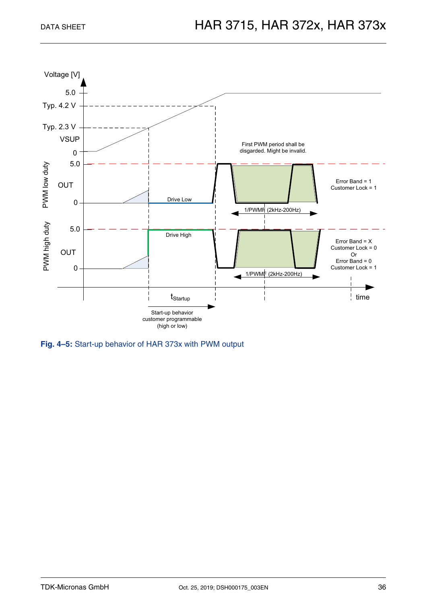

**Fig. 4–5:** Start-up behavior of HAR 373x with PWM output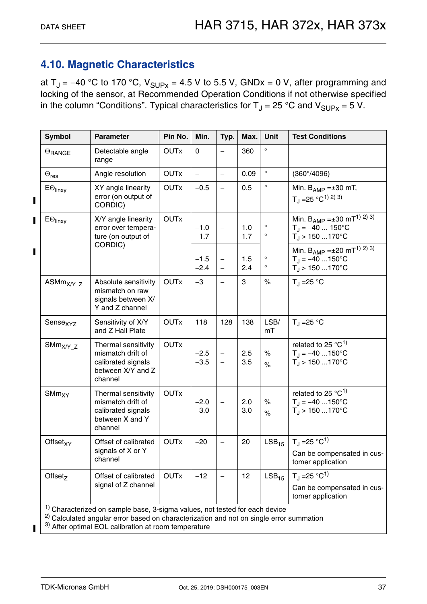## <span id="page-36-0"></span>**4.10. Magnetic Characteristics**

at  $T_{\rm J}$  = -40 °C to 170 °C,  $V_{\rm SI\,Pr}$  = 4.5 V to 5.5 V, GNDx = 0 V, after programming and locking of the sensor, at Recommended Operation Conditions if not otherwise specified in the column "Conditions". Typical characteristics for  $T_J = 25$  °C and  $V_{\text{SUPX}} = 5$  V.

| <b>Symbol</b>              | <b>Parameter</b>                                                                               | Pin No.     | Min.                     | Typ.                                                 | Max.       | Unit               | <b>Test Conditions</b>                                                                                   |
|----------------------------|------------------------------------------------------------------------------------------------|-------------|--------------------------|------------------------------------------------------|------------|--------------------|----------------------------------------------------------------------------------------------------------|
| $\Theta$ RANGE             | Detectable angle<br>range                                                                      | <b>OUTx</b> | $\mathbf 0$              |                                                      | 360        | $\circ$            |                                                                                                          |
| $\Theta_{\textsf{res}}$    | Angle resolution                                                                               | <b>OUTx</b> | $\overline{\phantom{0}}$ | $\qquad \qquad -$                                    | 0.09       | $\circ$            | $(360^{\circ}/4096)$                                                                                     |
| $E\Theta$ <sub>linxy</sub> | XY angle linearity<br>error (on output of<br>CORDIC)                                           | <b>OUTx</b> | $-0.5$                   | $\qquad \qquad -$                                    | 0.5        | $\circ$            | Min. $B_{AMP} = \pm 30$ mT,<br>$T_J = 25 °C^{1/2}$                                                       |
| $E\Theta_{\text{linxy}}$   | X/Y angle linearity<br>error over tempera-<br>ture (on output of                               | <b>OUTx</b> | $-1.0$<br>$-1.7$         | $\overline{\phantom{0}}$<br>$\overline{\phantom{0}}$ | 1.0<br>1.7 | $\circ$<br>$\circ$ | Min. $B_{AMP} = \pm 30$ mT <sup>1)</sup> 2) 3)<br>$T_J = -40$ 150°C<br>$T_J$ > 150 170°C                 |
|                            | CORDIC)                                                                                        |             | $-1.5$<br>$-2.4$         | $\overline{\phantom{0}}$<br>$\qquad \qquad -$        | 1.5<br>2.4 | $\circ$<br>$\circ$ | Min. B <sub>AMP</sub> = ±20 mT <sup>1)</sup> 2) 3)<br>$T_{\rm J} = -40$ 150°C<br>$T_{\rm J}$ > 150 170°C |
| $ASMmX/Y_Z$                | Absolute sensitivity<br>mismatch on raw<br>signals between X/<br>Y and Z channel               | <b>OUTx</b> | $-3$                     | $\qquad \qquad -$                                    | 3          | $\%$               | $T_{\rm J}$ = 25 °C                                                                                      |
| Sense <sub>XYZ</sub>       | Sensitivity of X/Y<br>and Z Hall Plate                                                         | <b>OUTx</b> | 118                      | 128                                                  | 138        | LSB/<br>mT         | $T_{\rm J}$ = 25 °C                                                                                      |
| $S\text{Mm}_{X/Y_Z}$       | Thermal sensitivity<br>mismatch drift of<br>calibrated signals<br>between X/Y and Z<br>channel | <b>OUTx</b> | $-2.5$<br>$-3.5$         | $\overline{\phantom{0}}$<br>$\qquad \qquad -$        | 2.5<br>3.5 | $\%$<br>$\%$       | related to 25 $^{\circ}$ C <sup>1)</sup><br>$T_{\rm J} = -40$ 150°C<br>$T_{\rm J}$ > 150 170°C           |
| $S\text{Mm}_{XY}$          | Thermal sensitivity<br>mismatch drift of<br>calibrated signals<br>between X and Y<br>channel   | <b>OUTx</b> | $-2.0$<br>$-3.0$         | $\qquad \qquad -$<br>$\qquad \qquad -$               | 2.0<br>3.0 | $\%$<br>$\%$       | related to 25 $^{\circ}$ C <sup>1)</sup><br>$T_{\rm J} = -40$ 150°C<br>$T_{\rm J}$ > 150 170°C           |
| Offset <sub>XY</sub>       | Offset of calibrated                                                                           | <b>OUTx</b> | $-20$                    | $\equiv$                                             | 20         | LSB <sub>15</sub>  | $T_J = 25 °C^{1}$                                                                                        |
|                            | signals of X or Y<br>channel                                                                   |             |                          |                                                      |            |                    | Can be compensated in cus-<br>tomer application                                                          |
| Offset <sub>z</sub>        | Offset of calibrated<br>signal of Z channel                                                    | <b>OUTx</b> | $-12$                    |                                                      | 12         | LSB <sub>15</sub>  | $T_{\rm d}$ = 25 °C <sup>1)</sup>                                                                        |
|                            |                                                                                                |             |                          |                                                      |            |                    | Can be compensated in cus-<br>tomer application                                                          |

<sup>2)</sup> Calculated angular error based on characterization and not on single error summation

3) After optimal EOL calibration at room temperature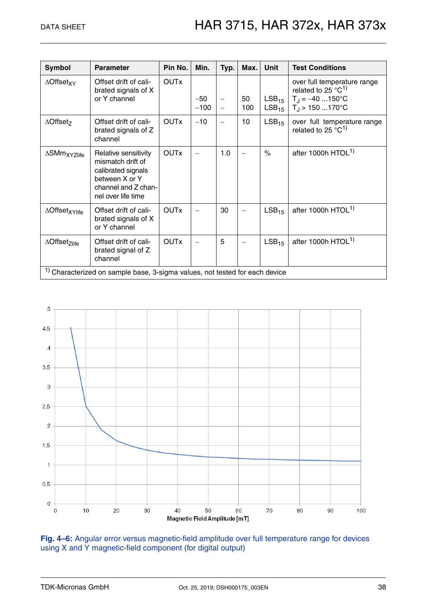| <b>Symbol</b>                       | <b>Parameter</b>                                                                                                               | Pin No.     | Min.            | Typ.                                                 | Max.      | <b>Unit</b>                     | <b>Test Conditions</b>                                                                                                        |
|-------------------------------------|--------------------------------------------------------------------------------------------------------------------------------|-------------|-----------------|------------------------------------------------------|-----------|---------------------------------|-------------------------------------------------------------------------------------------------------------------------------|
| $\triangle$ Offset <sub>XY</sub>    | Offset drift of cali-<br>brated signals of X<br>or Y channel                                                                   | <b>OUTx</b> | $-50$<br>$-100$ | $\overline{\phantom{0}}$<br>$\overline{\phantom{0}}$ | 50<br>100 | LSB <sub>15</sub><br>$LSB_{15}$ | over full temperature range<br>related to 25 $^{\circ}$ C <sup>1)</sup><br>$T_{\rm J} = -40$ 150°C<br>$T_{\rm J}$ > 150 170°C |
| $\triangle$ Offset <sub>z</sub>     | Offset drift of cali-<br>brated signals of Z<br>channel                                                                        | <b>OUTx</b> | $-10$           | $\overline{\phantom{0}}$                             | 10        | LSB <sub>15</sub>               | over full temperature range<br>related to 25 $^{\circ}$ C <sup>1)</sup>                                                       |
| $\Delta$ SMm <sub>XYZlife</sub>     | Relative sensitivity<br>mismatch drift of<br>calibrated signals<br>between X or Y<br>channel and Z chan-<br>nel over life time | <b>OUTx</b> |                 | 1.0                                                  |           | $\frac{1}{\sqrt{2}}$            | after 1000h HTOL <sup>1)</sup>                                                                                                |
| ∆Offset <sub>XYlife</sub>           | Offset drift of cali-<br>brated signals of X<br>or Y channel                                                                   | <b>OUTx</b> |                 | 30                                                   |           | LSB <sub>15</sub>               | after 1000h HTOL <sup>1)</sup>                                                                                                |
| $\triangle$ Offset <sub>Zlife</sub> | Offset drift of cali-<br>brated signal of Z<br>channel                                                                         | <b>OUTx</b> |                 | 5                                                    |           | LSB <sub>15</sub>               | after 1000h HTOL <sup>1)</sup>                                                                                                |
|                                     | <sup>1)</sup> Characterized on sample base, 3-sigma values, not tested for each device                                         |             |                 |                                                      |           |                                 |                                                                                                                               |



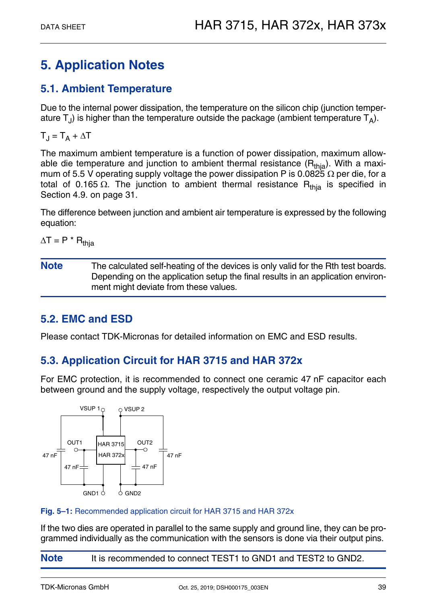## <span id="page-38-0"></span>**5. Application Notes**

## <span id="page-38-4"></span><span id="page-38-1"></span>**5.1. Ambient Temperature**

Due to the internal power dissipation, the temperature on the silicon chip (junction temperature  $T_{\text{I}}$ ) is higher than the temperature outside the package (ambient temperature  $T_{\text{A}}$ ).

 $T_J = T_A + \Delta T$ 

The maximum ambient temperature is a function of power dissipation, maximum allowable die temperature and junction to ambient thermal resistance  $(R<sub>thia</sub>)$ . With a maximum of 5.5 V operating supply voltage the power dissipation P is 0.0825  $\Omega$  per die, for a total of 0.165  $\Omega$ . The junction to ambient thermal resistance R<sub>thia</sub> is specified in [Section 4.9. on page 31.](#page-30-1)

The difference between junction and ambient air temperature is expressed by the following equation:

 $\Delta T = P^* R_{\text{thia}}$ 

**Note** The calculated self-heating of the devices is only valid for the Rth test boards. Depending on the application setup the final results in an application environment might deviate from these values.

## <span id="page-38-2"></span>**5.2. EMC and ESD**

Please contact TDK-Micronas for detailed information on EMC and ESD results.

## <span id="page-38-3"></span>**5.3. Application Circuit for HAR 3715 and HAR 372x**

For EMC protection, it is recommended to connect one ceramic 47 nF capacitor each between ground and the supply voltage, respectively the output voltage pin.



#### **Fig. 5–1:** Recommended application circuit for HAR 3715 and HAR 372x

If the two dies are operated in parallel to the same supply and ground line, they can be programmed individually as the communication with the sensors is done via their output pins.

**Note** It is recommended to connect TEST1 to GND1 and TEST2 to GND2.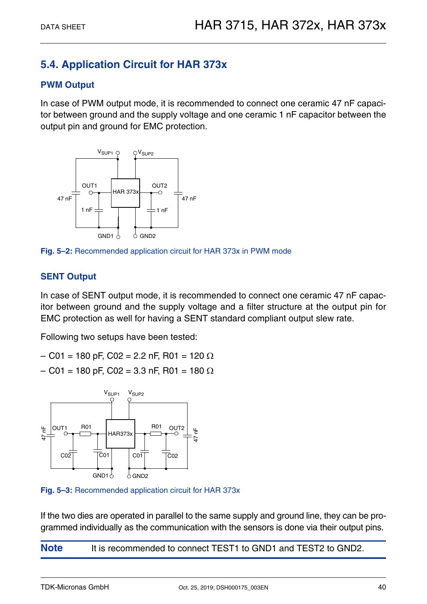## <span id="page-39-0"></span>**5.4. Application Circuit for HAR 373x**

#### **PWM Output**

In case of PWM output mode, it is recommended to connect one ceramic 47 nF capacitor between ground and the supply voltage and one ceramic 1 nF capacitor between the output pin and ground for EMC protection.



**Fig. 5–2:** Recommended application circuit for HAR 373x in PWM mode

#### **SENT Output**

In case of SENT output mode, it is recommended to connect one ceramic 47 nF capacitor between ground and the supply voltage and a filter structure at the output pin for EMC protection as well for having a SENT standard compliant output slew rate.

Following two setups have been tested:

- $-$  C01 = 180 pF, C02 = 2.2 nF, R01 = 120  $\Omega$
- $-$  C01 = 180 pF, C02 = 3.3 nF, R01 = 180  $\Omega$



**Fig. 5–3:** Recommended application circuit for HAR 373x

If the two dies are operated in parallel to the same supply and ground line, they can be programmed individually as the communication with the sensors is done via their output pins.

**Note** It is recommended to connect TEST1 to GND1 and TEST2 to GND2.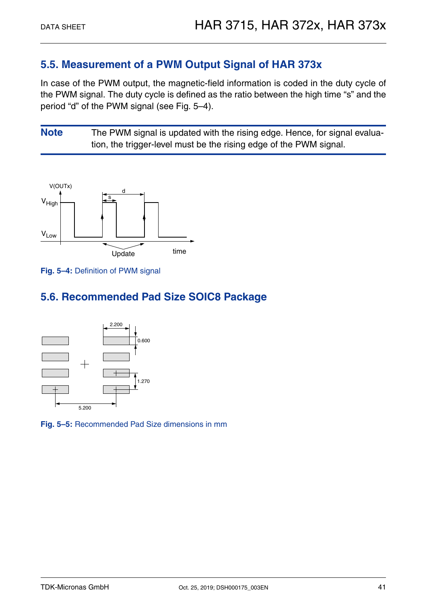### <span id="page-40-0"></span>**5.5. Measurement of a PWM Output Signal of HAR 373x**

In case of the PWM output, the magnetic-field information is coded in the duty cycle of the PWM signal. The duty cycle is defined as the ratio between the high time "s" and the period "d" of the PWM signal (see Fig. 5–4).

**Note** The PWM signal is updated with the rising edge. Hence, for signal evaluation, the trigger-level must be the rising edge of the PWM signal.





## <span id="page-40-1"></span>**5.6. Recommended Pad Size SOIC8 Package**



**Fig. 5–5:** Recommended Pad Size dimensions in mm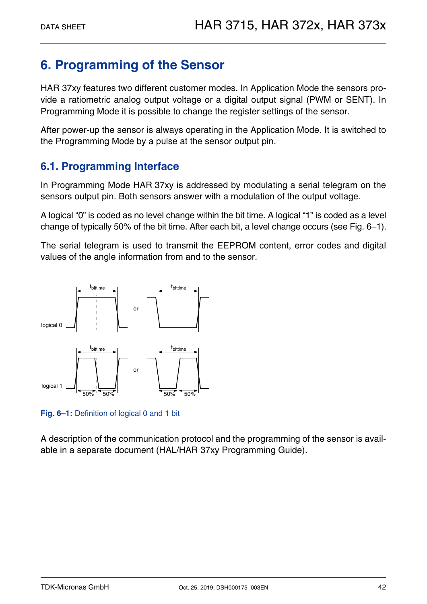## <span id="page-41-0"></span>**6. Programming of the Sensor**

HAR 37xy features two different customer modes. In Application Mode the sensors provide a ratiometric analog output voltage or a digital output signal (PWM or SENT). In Programming Mode it is possible to change the register settings of the sensor.

After power-up the sensor is always operating in the Application Mode. It is switched to the Programming Mode by a pulse at the sensor output pin.

## <span id="page-41-1"></span>**6.1. Programming Interface**

In Programming Mode HAR 37xy is addressed by modulating a serial telegram on the sensors output pin. Both sensors answer with a modulation of the output voltage.

A logical "0" is coded as no level change within the bit time. A logical "1" is coded as a level change of typically 50% of the bit time. After each bit, a level change occurs [\(see Fig. 6–1\)](#page-41-2).

The serial telegram is used to transmit the EEPROM content, error codes and digital values of the angle information from and to the sensor.



<span id="page-41-2"></span>**Fig. 6–1:** Definition of logical 0 and 1 bit

A description of the communication protocol and the programming of the sensor is available in a separate document (HAL/HAR 37xy Programming Guide).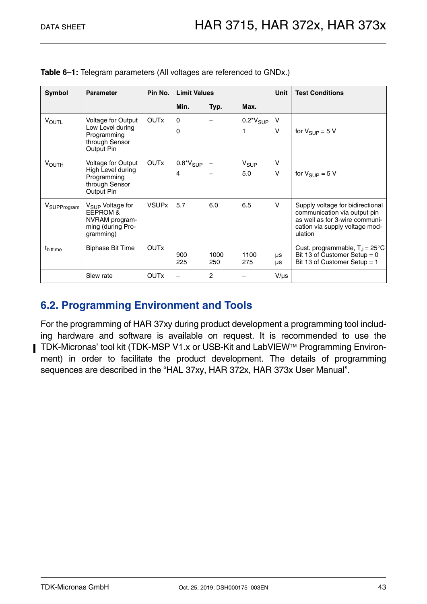| Symbol                  | <b>Parameter</b>                                                                                        | Pin No.      |                    | <b>Limit Values</b> |                                      |                  | <b>Test Conditions</b>                                                                                                                          |
|-------------------------|---------------------------------------------------------------------------------------------------------|--------------|--------------------|---------------------|--------------------------------------|------------------|-------------------------------------------------------------------------------------------------------------------------------------------------|
|                         |                                                                                                         |              | Min.               | Typ.                | Max.                                 |                  |                                                                                                                                                 |
| <b>VOUTL</b>            | <b>Voltage for Output</b><br>Low Level during<br>Programming<br>through Sensor<br>Output Pin            | <b>OUTx</b>  | 0<br>$\Omega$      |                     | $0.2^{\star}V_{SUP}$                 | v<br>$\vee$      | for $V_{\text{SUP}} = 5 V$                                                                                                                      |
| <b>VOUTH</b>            | <b>Voltage for Output</b><br>High Level during<br>Programming<br>through Sensor<br>Output Pin           | <b>OUTx</b>  | $0.8*V_{SUP}$<br>4 |                     | $V_{\scriptstyle \text{SUP}}$<br>5.0 | $\vee$<br>$\vee$ | for $V_{SIIP} = 5 V$                                                                                                                            |
| V <sub>SUPProgram</sub> | V <sub>SUP</sub> Voltage for<br><b>EEPROM &amp;</b><br>NVRAM program-<br>ming (during Pro-<br>gramming) | <b>VSUPx</b> | 5.7                | 6.0                 | 6.5                                  | $\vee$           | Supply voltage for bidirectional<br>communication via output pin<br>as well as for 3-wire communi-<br>cation via supply voltage mod-<br>ulation |
| t <sub>bittime</sub>    | <b>Biphase Bit Time</b>                                                                                 | <b>OUTx</b>  | 900<br>225         | 1000<br>250         | 1100<br>275                          | μs<br><b>US</b>  | Cust. programmable, $T_{\rm J}$ = 25°C<br>Bit 13 of Customer Setup = $0$<br>Bit 13 of Customer Setup = 1                                        |
|                         | Slew rate                                                                                               | <b>OUTx</b>  |                    | $\overline{c}$      |                                      | $V/\mu s$        |                                                                                                                                                 |

**Table 6–1:** Telegram parameters (All voltages are referenced to GNDx.)

## <span id="page-42-0"></span>**6.2. Programming Environment and Tools**

For the programming of HAR 37xy during product development a programming tool including hardware and software is available on request. It is recommended to use the TDK-Micronas' tool kit (TDK-MSP V1.x or USB-Kit and LabVIEW™ Programming Environment) in order to facilitate the product development. The details of programming sequences are described in the "HAL 37xy, HAR 372x, HAR 373x User Manual".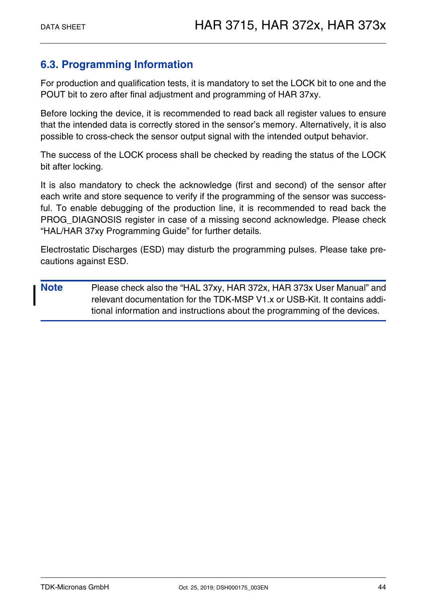## <span id="page-43-0"></span>**6.3. Programming Information**

For production and qualification tests, it is mandatory to set the LOCK bit to one and the POUT bit to zero after final adjustment and programming of HAR 37xy.

Before locking the device, it is recommended to read back all register values to ensure that the intended data is correctly stored in the sensor's memory. Alternatively, it is also possible to cross-check the sensor output signal with the intended output behavior.

The success of the LOCK process shall be checked by reading the status of the LOCK bit after locking.

It is also mandatory to check the acknowledge (first and second) of the sensor after each write and store sequence to verify if the programming of the sensor was successful. To enable debugging of the production line, it is recommended to read back the PROG\_DIAGNOSIS register in case of a missing second acknowledge. Please check "HAL/HAR 37xy Programming Guide" for further details.

Electrostatic Discharges (ESD) may disturb the programming pulses. Please take precautions against ESD.

**Note** Please check also the "HAL 37xy, HAR 372x, HAR 373x User Manual" and relevant documentation for the TDK-MSP V1.x or USB-Kit. It contains additional information and instructions about the programming of the devices.